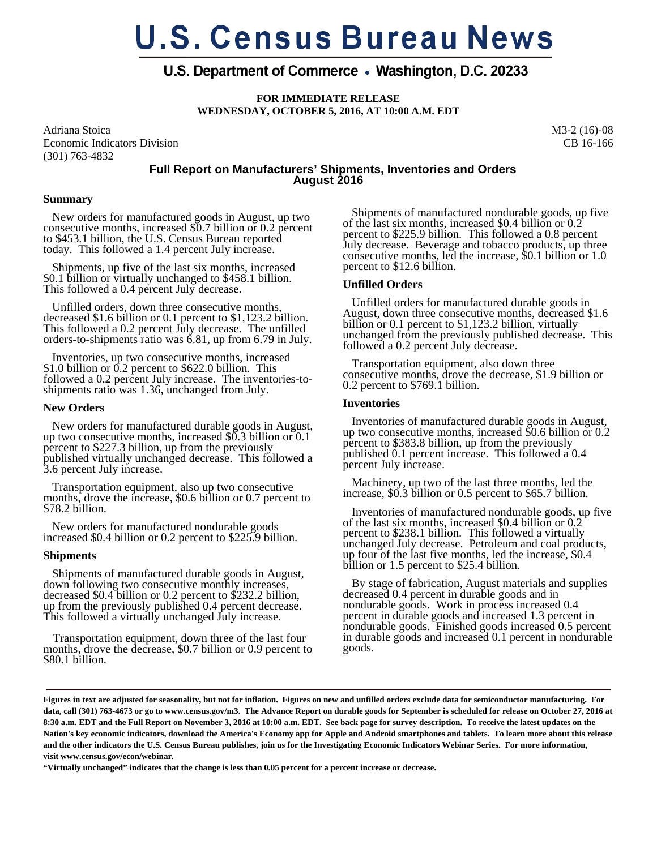# **U.S. Census Bureau News**

# U.S. Department of Commerce • Washington, D.C. 20233

**FOR IMMEDIATE RELEASE WEDNESDAY, OCTOBER 5, 2016, AT 10:00 A.M. EDT** 

Adriana Stoica Economic Indicators Division (301) 763-4832

M3-2 (16)-08 CB 16-166

# **Full Report on Manufacturers' Shipments, Inventories and Orders August 2016**

# **Summary**

 New orders for manufactured goods in August, up two consecutive months, increased \$0.7 billion or 0.2 percent to \$453.1 billion, the U.S. Census Bureau reported today. This followed a 1.4 percent July increase.

 Shipments, up five of the last six months, increased \$0.1 billion or virtually unchanged to \$458.1 billion. This followed a 0.4 percent July decrease.

 Unfilled orders, down three consecutive months, decreased \$1.6 billion or 0.1 percent to \$1,123.2 billion. This followed a 0.2 percent July decrease. The unfilled orders-to-shipments ratio was 6.81, up from 6.79 in July.

 Inventories, up two consecutive months, increased \$1.0 billion or 0.2 percent to \$622.0 billion. This followed a 0.2 percent July increase. The inventories-toshipments ratio was 1.36, unchanged from July.

#### **New Orders**

 New orders for manufactured durable goods in August, up two consecutive months, increased \$0.3 billion or 0.1 percent to \$227.3 billion, up from the previously published virtually unchanged decrease. This followed a 3.6 percent July increase.

 Transportation equipment, also up two consecutive months, drove the increase, \$0.6 billion or 0.7 percent to \$78.2 billion.

 New orders for manufactured nondurable goods increased \$0.4 billion or 0.2 percent to \$225.9 billion.

# **Shipments**

 Shipments of manufactured durable goods in August, down following two consecutive monthly increases, decreased \$0.4 billion or 0.2 percent to \$232.2 billion, up from the previously published 0.4 percent decrease. This followed a virtually unchanged July increase.

 Transportation equipment, down three of the last four months, drove the decrease, \$0.7 billion or 0.9 percent to \$80.1 billion.

 Shipments of manufactured nondurable goods, up five of the last six months, increased \$0.4 billion or 0.2 percent to \$225.9 billion. This followed a 0.8 percent July decrease. Beverage and tobacco products, up three consecutive months, led the increase, \$0.1 billion or 1.0 percent to \$12.6 billion.

# **Unfilled Orders**

 Unfilled orders for manufactured durable goods in August, down three consecutive months, decreased \$1.6 billion or 0.1 percent to \$1,123.2 billion, virtually unchanged from the previously published decrease. This followed a 0.2 percent July decrease.

 Transportation equipment, also down three consecutive months, drove the decrease, \$1.9 billion or 0.2 percent to \$769.1 billion.

# **Inventories**

 Inventories of manufactured durable goods in August, up two consecutive months, increased \$0.6 billion or 0.2 percent to \$383.8 billion, up from the previously published 0.1 percent increase. This followed a 0.4 percent July increase.

 Machinery, up two of the last three months, led the increase, \$0.3 billion or 0.5 percent to \$65.7 billion.

 Inventories of manufactured nondurable goods, up five of the last six months, increased \$0.4 billion or 0.2 percent to \$238.1 billion. This followed a virtually unchanged July decrease. Petroleum and coal products, up four of the last five months, led the increase, \$0.4 up four of the last five months, led the increase, \$0.4 billion or 1.5 percent to \$25.4 billion.

 By stage of fabrication, August materials and supplies decreased 0.4 percent in durable goods and in nondurable goods. Work in process increased 0.4 percent in durable goods and increased 1.3 percent in nondurable goods. Finished goods increased 0.5 percent in durable goods and increased 0.1 percent in nondurable goods.

**"Virtually unchanged" indicates that the change is less than 0.05 percent for a percent increase or decrease.** 

**Figures in text are adjusted for seasonality, but not for inflation. Figures on new and unfilled orders exclude data for semiconductor manufacturing. For data, call (301) 763-4673 or go to www.census.gov/m3**. **The Advance Report on durable goods for September is scheduled for release on October 27, 2016 at 8:30 a.m. EDT and the Full Report on November 3, 2016 at 10:00 a.m. EDT. See back page for survey description. To receive the latest updates on the Nation's key economic indicators, download the America's Economy app for Apple and Android smartphones and tablets. To learn more about this release and the other indicators the U.S. Census Bureau publishes, join us for the Investigating Economic Indicators Webinar Series. For more information, visit www.census.gov/econ/webinar.**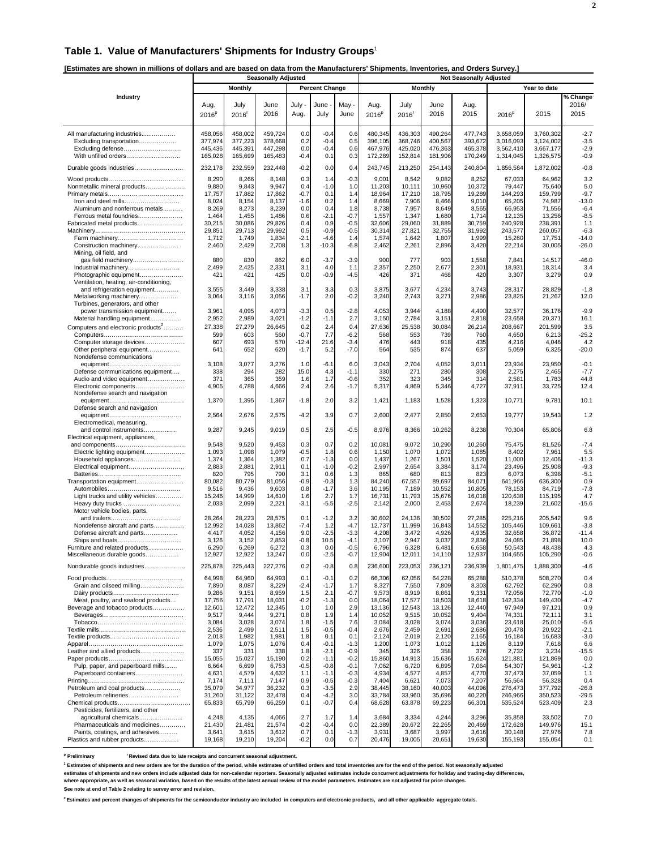## **Table 1. Value of Manufacturers' Shipments for Industry Groups**<sup>1</sup>

**[Estimates are shown in millions of dollars and are based on data from the Manufacturers' Shipments, Inventories, and Orders Survey.]** 

|                                                        | <b>Seasonally Adjusted</b> |                     |                  |                 |                       |                  |                  |                  |                  | <b>Not Seasonally Adjusted</b> |                    |                    |                    |  |
|--------------------------------------------------------|----------------------------|---------------------|------------------|-----------------|-----------------------|------------------|------------------|------------------|------------------|--------------------------------|--------------------|--------------------|--------------------|--|
|                                                        |                            | <b>Monthly</b>      |                  |                 | <b>Percent Change</b> |                  |                  |                  | <b>Monthly</b>   |                                |                    | Year to date       |                    |  |
| Industry                                               |                            |                     |                  |                 |                       |                  |                  |                  |                  |                                |                    |                    | % Change           |  |
|                                                        | Aug.                       | July                | June             | July -          | June                  | May              | Aug.             | July             | June             | Aug.                           |                    |                    | 2016/              |  |
|                                                        | $2016^p$                   | $2016$ <sup>r</sup> | 2016             | Aug.            | July                  | June             | $2016^p$         | 2016'            | 2016             | 2015                           | $2016^p$           | 2015               | 2015               |  |
|                                                        |                            |                     |                  |                 |                       |                  |                  |                  |                  |                                |                    |                    |                    |  |
| All manufacturing industries                           | 458,056                    | 458,002             | 459,724          | 0.0             | $-0.4$                | 0.6              | 480,345          | 436,303          | 490,264          | 477,743                        | 3,658,059          | 3,760,302          | $-2.7$             |  |
| Excluding transportation                               | 377,974                    | 377,223             | 378,668          | 0.2             | $-0.4$                | 0.5              | 396,105          | 368,746          | 400,567          | 393,672                        | 3.016.093          | 3,124,002          | $-3.5$             |  |
| Excluding defense                                      | 445,436                    | 445,391             | 447,298          | 0.0             | $-0.4$                | 0.6              | 467,976          | 425,020          | 476,363          | 465,378                        | 3,562,410          | 3,667,177          | $-2.9$             |  |
| With unfilled orders                                   | 165,028                    | 165,699             | 165,483          | $-0.4$          | 0.1                   | 0.3              | 172,289          | 152,814          | 181,906          | 170,249                        | 1,314,045          | 1,326,575          | $-0.9$             |  |
| Durable goods industries                               | 232,178                    | 232,559             | 232,448          | $-0.2$          | 0.0                   | 0.4              | 243,745          | 213,250          | 254,143          | 240,804                        | 1,856,584          | 1,872,002          | $-0.8$             |  |
|                                                        |                            |                     |                  |                 |                       |                  |                  |                  |                  |                                |                    |                    |                    |  |
|                                                        | 8,290                      | 8,266               | 8,148            | 0.3             | 1.4                   | $-0.3$           | 9,001            | 8,542            | 9,082            | 8,252                          | 67,033             | 64,962             | 3.2                |  |
| Nonmetallic mineral products                           | 9,880                      | 9,843               | 9,947            | 0.4             | $-1.0$                | 1.0              | 11,203           | 10,111           | 10,960           | 10,372                         | 79,447             | 75,640             | 5.0                |  |
|                                                        | 17,757                     | 17,882              | 17,862           | $-0.7$          | 0.1                   | 1.4              | 18,964           | 17,210           | 18,795           | 19,289                         | 144.293            | 159,799            | $-9.7$             |  |
| Iron and steel mills<br>Aluminum and nonferrous metals | 8,024<br>8,269             | 8,154<br>8,273      | 8,137<br>8,239   | $-1.6$<br>0.0   | 0.2<br>0.4            | 1.4<br>1.8       | 8,669<br>8,738   | 7,906<br>7,957   | 8,466<br>8,649   | 9,010<br>8,565                 | 65,205<br>66,953   | 74,987<br>71,556   | $-13.0$<br>$-6.4$  |  |
| Ferrous metal foundries                                | 1,464                      | 1,455               | 1,486            | 0.6             | $-2.1$                | $-0.7$           | 1,557            | 1,347            | 1,680            | 1,714                          | 12,135             | 13,256             | $-8.5$             |  |
| Fabricated metal products                              | 30,215                     | 30,086              | 29,826           | 0.4             | 0.9                   | $-0.5$           | 32,606           | 29,060           | 31,889           | 30,759                         | 240,928            | 238,391            | 1.1                |  |
|                                                        | 29,851                     | 29,713              | 29,992           | 0.5             | $-0.9$                | $-0.5$           | 30,314           | 27,821           | 32,755           | 31,992                         | 243,577            | 260,057            | $-6.3$             |  |
| Farm machinery                                         | 1,712                      | 1,749               | 1,834            | $-2.1$          | $-4.6$                | 1.4              | 1,574            | 1,642            | 1,807            | 1,999                          | 15,260             | 17,751             | $-14.0$            |  |
| Construction machinery                                 | 2,460                      | 2,429               | 2,708            | 1.3             | $-10.3$               | $-6.8$           | 2,462            | 2,26'            | 2,896            | 3,420                          | 22,214             | 30,005             | $-26.0$            |  |
| Mining, oil field, and                                 |                            |                     |                  |                 |                       |                  |                  |                  |                  |                                |                    |                    |                    |  |
| gas field machinery<br>Industrial machinery            | 880<br>2,499               | 830<br>2,425        | 862<br>2,331     | 6.0<br>3.1      | $-3.7$<br>4.0         | $-3.9$<br>1.1    | 900<br>2,357     | 777<br>2,250     | 903<br>2,677     | 1,558<br>2,301                 | 7,841<br>18,931    | 14,517<br>18,314   | $-46.0$<br>3.4     |  |
| Photographic equipment                                 | 421                        | 421                 | 425              | 0.0             | $-0.9$                | $-4.5$           | 426              | 371              | 468              | 420                            | 3,307              | 3,279              | 0.9                |  |
| Ventilation, heating, air-conditioning,                |                            |                     |                  |                 |                       |                  |                  |                  |                  |                                |                    |                    |                    |  |
| and refrigeration equipment                            | 3,555                      | 3,449               | 3,338            | 3.1             | 3.3                   | 0.3              | 3,875            | 3,677            | 4,234            | 3,743                          | 28,317             | 28,829             | $-1.8$             |  |
| Metalworking machinery                                 | 3,064                      | 3,116               | 3,056            | $-1.7$          | 2.0                   | $-0.2$           | 3,240            | 2,743            | 3,271            | 2,986                          | 23,825             | 21,267             | 12.0               |  |
| Turbines, generators, and other                        |                            |                     |                  |                 |                       |                  |                  |                  |                  |                                |                    |                    |                    |  |
| power transmission equipment                           | 3,961                      | 4,095               | 4,073            | $-3.3$          | 0.5                   | $-2.8$           | 4,053            | 3,944            | 4,188            | 4,490                          | 32,577             | 36,176             | $-9.9$             |  |
| Material handling equipment                            | 2,952                      | 2,989               | 3,021            | $-1.2$          | $-1.1$                | 2.7              | 3,150            | 2,784            | 3,151            | 2,818                          | 23,658             | 20,371             | 16.1               |  |
| Computers and electronic products <sup>2</sup>         | 27,338                     | 27,279              | 26,645           | 0.2             | 2.4                   | 0.4              | 27,636           | 25,538           | 30,084           | 26,214                         | 208,667            | 201,599            | 3.5                |  |
| Computer storage devices                               | 599<br>607                 | 603<br>693          | 560<br>570       | $-0.7$<br>-12.4 | 7.7<br>21.6           | $-6.2$<br>$-3.4$ | 568<br>476       | 553<br>443       | 739<br>918       | 760<br>435                     | 4,650<br>4,216     | 6,213<br>4,046     | $-25.2$<br>4.2     |  |
| Other peripheral equipment                             | 641                        | 652                 | 620              | $-1.7$          | 5.2                   | $-7.0$           | 564              | 535              | 874              | 637                            | 5,059              | 6,325              | $-20.0$            |  |
| Nondefense communications                              |                            |                     |                  |                 |                       |                  |                  |                  |                  |                                |                    |                    |                    |  |
|                                                        | 3,108                      | 3,077               | 3,276            | 1.0             | $-6.1$                | 6.0              | 3,043            | 2,704            | 4,052            | 3,011                          | 23,934             | 23,950             | $-0.1$             |  |
| Defense communications equipment                       | 338                        | 294                 | 282              | 15.0            | 4.3                   | $-1.1$           | 330              | 27'              | 280              | 308                            | 2,275              | 2,465              | $-7.7$             |  |
| Audio and video equipment                              | 371                        | 365                 | 359              | 1.6             | 1.7                   | $-0.6$           | 352              | 323              | 345              | 314                            | 2,581              | 1,783              | 44.8               |  |
| Electronic components                                  | 4,905                      | 4,788               | 4,666            | 2.4             | 2.6                   | $-1.7$           | 5,317            | 4,869            | 5,346            | 4,727                          | 37,911             | 33,725             | 12.4               |  |
| Nondefense search and navigation                       |                            |                     |                  |                 | 2.0                   |                  |                  |                  |                  |                                |                    |                    | 10.1               |  |
| Defense search and navigation                          | 1,370                      | 1,395               | 1,367            | $-1.8$          |                       | 3.2              | 1,421            | 1,183            | 1,528            | 1,323                          | 10,771             | 9,781              |                    |  |
|                                                        | 2,564                      | 2,676               | 2,575            | $-4.2$          | 3.9                   | 0.7              | 2,600            | 2,477            | 2,850            | 2,653                          | 19,777             | 19,543             | 1.2                |  |
| Electromedical, measuring,                             |                            |                     |                  |                 |                       |                  |                  |                  |                  |                                |                    |                    |                    |  |
| and control instruments                                | 9,287                      | 9,245               | 9,019            | 0.5             | 2.5                   | $-0.5$           | 8,976            | 8,366            | 10,262           | 8,238                          | 70,304             | 65,806             | 6.8                |  |
| Electrical equipment, appliances,                      |                            |                     |                  |                 |                       |                  |                  |                  |                  |                                |                    |                    |                    |  |
|                                                        | 9,548                      | 9,520               | 9,453            | 0.3             | 0.7                   | 0.2              | 10,081           | 9,072            | 10,290           | 10,260                         | 75,475             | 81,526             | $-7.4$             |  |
| Electric lighting equipment                            | 1,093                      | 1,098               | 1,079            | $-0.5$          | 1.8                   | 0.6              | 1,150            | 1,070            | 1,072            | 1,085                          | 8,402              | 7,961              | 5.5<br>$-11.3$     |  |
| Household appliances<br>Electrical equipment           | 1,374<br>2,883             | 1,364<br>2,881      | 1,382<br>2,911   | 0.7<br>0.1      | $-1.3$<br>$-1.0$      | 0.0<br>$-0.2$    | 1,437<br>2,997   | 1,267<br>2,654   | 1,501<br>3,384   | 1,520<br>3,174                 | 11,000<br>23,496   | 12,406<br>25,908   | $-9.3$             |  |
|                                                        | 820                        | 795                 | 790              | 3.1             | 0.6                   | 1.3              | 865              | 680              | 813              | 823                            | 6,073              | 6,398              | $-5.1$             |  |
| Transportation equipment                               | 80,082                     | 80,779              | 81,056           | $-0.9$          | $-0.3$                | 1.3              | 84,240           | 67,557           | 89,697           | 84,071                         | 641,966            | 636,300            | 0.9                |  |
|                                                        | 9,516                      | 9,436               | 9,603            | 0.8             | $-1.7$                | 3.6              | 10,195           | 7,189            | 10,552           | 10,805                         | 78,153             | 84,719             | $-7.8$             |  |
| Light trucks and utility vehicles                      | 15,246                     | 14,999              | 14,610           | 1.6             | 2.7                   | 1.7              | 16,731           | 11,793           | 15,676           | 16,018                         | 120,638            | 115,195            | 4.7                |  |
| Heavy duty trucks                                      | 2,033                      | 2,099               | 2,221            | $-3.1$          | $-5.5$                | $-2.5$           | 2,142            | 2,000            | 2,453            | 2,674                          | 18,239             | 21,602             | $-15.6$            |  |
| Motor vehicle bodies, parts,                           | 28,264                     | 28,223              | 28,575           | 0.1             | $-1.2$                | 3.2              | 30,602           | 24,136           | 30,502           | 27,285                         | 225,216            | 205,542            | 9.6                |  |
| Nondefense aircraft and parts                          | 12,992                     | 14,028              | 13,862           | $-7.4$          | 1.2                   | $-4.7$           | 12,737           | 11,999           | 16,843           | 14,552                         | 105,446            | 109,661            | $-3.8$             |  |
| Defense aircraft and parts                             | 4,417                      | 4,052               | 4,156            | 9.0             | $-2.5$                | $-3.3$           | 4,208            | 3,472            | 4,926            | 4,935                          | 32,658             | 36,872             | $-11.4$            |  |
|                                                        | 3,126                      | 3,152               | 2,853            | $-0.8$          | 10.5                  | $-4.1$           | 3,107            | 2,947            | 3,037            | 2,836                          | 24,085             | 21,898             | 10.0               |  |
| Furniture and related products                         | 6,290                      | 6,269               | 6,272            | 0.3             | 0.0                   | $-0.5$           | 6,796            | 6,328            | 6,481            | 6,658                          | 50,543             | 48,438             | 4.3                |  |
| Miscellaneous durable goods                            | 12,927                     | 12,922              | 13,24            | 0.0             | $-2.5$                | $-0.7$           | 12,904           | 12,01            | 14,110           | 12,937                         | 104,655            | 105,290            | $-0.6$             |  |
| Nondurable goods industries                            | 225,878                    | 225,443             | 227,276          | 0.2             | $-0.8$                | 0.8              | 236,600          | 223,053          | 236,121          | 236,939                        | 1,801,475          | 1,888,300          | $-4.6$             |  |
|                                                        |                            |                     |                  |                 |                       |                  |                  |                  |                  |                                |                    |                    |                    |  |
| Grain and oilseed milling                              | 64,998<br>7,890            | 64,960<br>8,087     | 64,993<br>8,229  | 0.1<br>$-2.4$   | $-0.1$<br>$-1.7$      | 0.2<br>1.7       | 66,306<br>8,327  | 62,056<br>7,550  | 64,228<br>7,809  | 65,288<br>8,303                | 510,378<br>62,792  | 508,270<br>62,290  | 0.4<br>0.8         |  |
|                                                        | 9,286                      | 9,151               | 8,959            | 1.5             | 2.1                   | $-0.7$           | 9,573            | 8,919            | 8,861            | 9,331                          | 72,056             | 72,770             | $-1.0$             |  |
| Meat, poultry, and seafood products                    | 17,756                     | 17,791              | 18,031           | $-0.2$          | $-1.3$                | 0.0              | 18,064           | 17,577           | 18,503           | 18,618                         | 142,334            | 149,430            | $-4.7$             |  |
| Beverage and tobacco products                          | 12,601                     | 12,472              | 12,345           | 1.0             | 1.0                   | 2.9              | 13,136           | 12,543           | 13,126           | 12,440                         | 97,949             | 97,121             | 0.9                |  |
|                                                        | 9,517                      | 9,444               | 9,271            | 0.8             | 1.9                   | 1.4              | 10,052           | 9,515            | 10,052           | 9,404                          | 74,331             | 72,111             | 3.1                |  |
|                                                        | 3,084                      | 3,028               | 3,074            | 1.8             | $-1.5$                | 7.6              | 3,084            | 3,028            | 3,074            | 3,036                          | 23,618             | 25,010             | $-5.6$             |  |
|                                                        | 2,536                      | 2,499               | 2,511            | 1.5             | $-0.5$                | $-0.4$           | 2,676            | 2,459            | 2,691            | 2,686                          | 20,478             | 20,922             | $-2.1$             |  |
|                                                        | 2,018<br>1,079             | 1,982<br>1,075      | 1,981<br>1,076   | 1.8<br>0.4      | 0.1<br>$-0.1$         | 0.1<br>$-1.3$    | 2,124<br>1,200   | 2,019<br>1,073   | 2,120<br>1,012   | 2,165<br>1,126                 | 16,184<br>8,119    | 16,683<br>7,618    | $-3.0$<br>6.6      |  |
| Leather and allied products                            | 337                        | 331                 | 338              | 1.8             | $-2.1$                | $-0.9$           | 345              | 326              | 358              | 376                            | 2,732              | 3,234              | $-15.5$            |  |
|                                                        | 15,055                     | 15,027              | 15,190           | 0.2             | $-1.1$                | $-0.2$           | 15,860           | 14,913           | 15,636           | 15,624                         | 121,881            | 121,869            | 0.0                |  |
| Pulp, paper, and paperboard mills                      | 6,664                      | 6,699               | 6,753            | $-0.5$          | $-0.8$                | $-0.1$           | 7,062            | 6,720            | 6,895            | 7,064                          | 54,307             | 54,961             | $-1.2$             |  |
| Paperboard containers                                  | 4,631                      | 4,579               | 4,632            | 1.1             | $-1.1$                | $-0.3$           | 4,934            | 4,577            | 4,857            | 4,770                          | 37,473             | 37,059             | 1.1                |  |
|                                                        | 7,174                      | 7,111               | 7,147            | 0.9             | $-0.5$                | $-0.3$           | 7,404            | 6,621            | 7,073            | 7,207                          | 56,564             | 56,328             | 0.4                |  |
| Petroleum and coal products                            | 35,079                     | 34,977              | 36,232           | 0.3             | $-3.5$                | 2.9<br>3.0       | 38,445           | 38,160           | 40,003<br>35,696 | 44,096                         | 276,473            | 377,792            | $-26.8$<br>$-29.5$ |  |
| Petroleum refineries                                   | 31,260<br>65,833           | 31,122<br>65,799    | 32,478<br>66,259 | 0.4<br>0.1      | $-4.2$<br>$-0.7$      | 0.4              | 33,784<br>68,628 | 33,960<br>63,878 | 69,223           | 40,220<br>66,301               | 246,966<br>535,524 | 350,523<br>523,409 | 2.3                |  |
| Pesticides, fertilizers, and other                     |                            |                     |                  |                 |                       |                  |                  |                  |                  |                                |                    |                    |                    |  |
| agricultural chemicals                                 | 4,248                      | 4,135               | 4,066            | 2.7             | 1.7                   | 1.4              | 3,684            | 3,334            | 4,244            | 3,296                          | 35,858             | 33,502             | 7.0                |  |
| Pharmaceuticals and medicines                          | 21,430                     | 21,481              | 21,574           | $-0.2$          | $-0.4$                | 0.0              | 22,389           | 20,672           | 22,265           | 20,469                         | 172,628            | 149,976            | 15.1               |  |
| Paints, coatings, and adhesives                        | 3,641                      | 3,615               | 3,612            | 0.7             | 0.1                   | $-1.3$           | 3,931            | 3,687            | 3,997            | 3,616                          | 30,148             | 27,976             | 7.8                |  |
| Plastics and rubber products                           | 19,168                     | 19,210              | 19,204           | $-0.2$          | 0.0                   | 0.7              | 20,476           | 19,005           | 20,651           | 19,630                         | 155,193            | 155,054            | 0.1                |  |

<sup>p</sup> Preliminary  **Preliminary r Revised data due to late receipts and concurrent seasonal adjustment.**

**1 Estimates of shipments and new orders are for the duration of the period, while estimates of unfilled orders and total inventories are for the end of the period. Not seasonally adjusted** 

**estimates of shipments and new orders include adjusted data for non-calendar reporters. Seasonally adjusted estimates include concurrent adjustments for holiday and trading-day differences,**

**where appropriate, as well as seasonal variation, based on the results of the latest annual review of the model parameters. Estimates are not adjusted for price changes. See note at end of Table 2 relating to survey error and revision.**

<sup>2</sup> Estimates and percent changes of shipments for the semiconductor industry are included in computers and electronic products, and all other applicable aggregate totals.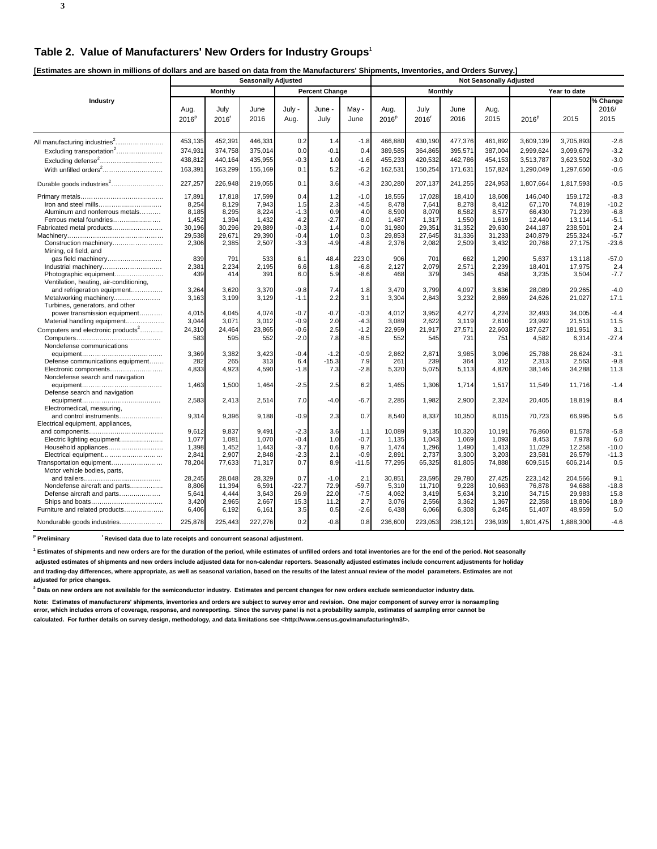**3**

**[Estimates are shown in millions of dollars and are based on data from the Manufacturers' Shipments, Inventories, and Orders Survey.]** 

|                                                                   |                           |                | <b>Seasonally Adjusted</b> |                |                       |               | <b>Not Seasonally Adjusted</b> |              |              |              |                   |           |                           |  |
|-------------------------------------------------------------------|---------------------------|----------------|----------------------------|----------------|-----------------------|---------------|--------------------------------|--------------|--------------|--------------|-------------------|-----------|---------------------------|--|
|                                                                   |                           | <b>Monthly</b> |                            |                | <b>Percent Change</b> |               |                                | Monthly      |              |              | Year to date      |           |                           |  |
| Industry                                                          | Aug.<br>2016 <sup>p</sup> | July<br>2016   | June<br>2016               | July -<br>Aug. | June -<br>July        | May -<br>June | Aug.<br>2016 <sup>p</sup>      | July<br>2016 | June<br>2016 | Aug.<br>2015 | 2016 <sup>p</sup> | 2015      | % Change<br>2016/<br>2015 |  |
|                                                                   | 453,135                   | 452,391        | 446,331                    | 0.2            | 1.4                   | $-1.8$        | 466,880                        | 430,190      | 477,376      | 461,892      | 3,609,139         | 3,705,893 | $-2.6$                    |  |
| Excluding transportation <sup>2</sup>                             | 374,931                   | 374,758        | 375,014                    | 0.0            | $-0.1$                | 0.4           | 389,585                        | 364,865      | 395,571      | 387,004      | 2,999,624         | 3,099,679 | $-3.2$                    |  |
| Excluding defense <sup>2</sup>                                    | 438,812                   | 440,164        | 435,955                    | $-0.3$         | 1.0                   | $-1.6$        | 455,233                        | 420,532      | 462,786      | 454,153      | 3,513,787         | 3,623,502 | $-3.0$                    |  |
|                                                                   | 163,391                   | 163,299        | 155,169                    | 0.1            | 5.2                   | $-6.2$        | 162,531                        | 150,254      | 171,631      | 157,824      | 1,290,049         | 1,297,650 | $-0.6$                    |  |
| Durable goods industries <sup>2</sup>                             | 227,257                   | 226,948        | 219,055                    | 0.1            | 3.6                   | $-4.3$        | 230,280                        | 207,137      | 241,255      | 224,953      | 1,807,664         | 1,817,593 | $-0.5$                    |  |
|                                                                   | 17,891                    | 17,818         | 17,599                     | 0.4            | 1.2                   | $-1.0$        | 18,555                         | 17,028       | 18,410       | 18,608       | 146,040           | 159,172   | $-8.3$                    |  |
| Iron and steel mills                                              | 8,254                     | 8,129          | 7,943                      | 1.5            | 2.3                   | $-4.5$        | 8,478                          | 7,641        | 8,278        | 8,412        | 67,170            | 74,819    | $-10.2$                   |  |
| Aluminum and nonferrous metals                                    | 8,185                     | 8,295          | 8,224                      | $-1.3$         | 0.9                   | 4.0           | 8,590                          | 8,070        | 8,582        | 8,577        | 66,430            | 71,239    | $-6.8$                    |  |
| Ferrous metal foundries                                           | 1,452                     | 1,394          | 1,432                      | 4.2            | $-2.7$                | $-8.0$        | 1,487                          | 1,317        | 1,550        | 1,619        | 12,440            | 13,114    | $-5.1$                    |  |
| Fabricated metal products                                         | 30,196                    | 30,296         | 29,889                     | $-0.3$         | 1.4                   | 0.0           | 31,980                         | 29,351       | 31,352       | 29,630       | 244,187           | 238,501   | 2.4                       |  |
|                                                                   | 29,538                    | 29,671         | 29,390                     | $-0.4$         | 1.0                   | 0.3           | 29,853                         | 27,645       | 31,336       | 31,233       | 240,879           | 255,324   | $-5.7$                    |  |
| Construction machinery<br>Mining, oil field, and                  | 2,306                     | 2,385          | 2,507                      | $-3.3$         | $-4.9$                | $-4.8$        | 2,376                          | 2,082        | 2,509        | 3,432        | 20,768            | 27,175    | $-23.6$                   |  |
| gas field machinery                                               | 839                       | 791            | 533                        | 6.1            | 48.4                  | 223.0         | 906                            | 701          | 662          | 1,290        | 5,637             | 13,118    | $-57.0$                   |  |
| Industrial machinery                                              | 2,381                     | 2,234          | 2,195                      | 6.6            | 1.8                   | $-6.8$        | 2,127                          | 2,079        | 2,571        | 2,239        | 18,401            | 17,975    | 2.4                       |  |
| Photographic equipment<br>Ventilation, heating, air-conditioning, | 439                       | 414            | 391                        | 6.0            | 5.9                   | $-8.6$        | 468                            | 379          | 345          | 458          | 3,235             | 3,504     | $-7.7$                    |  |
| and refrigeration equipment                                       | 3,264                     | 3,620          | 3,370                      | $-9.8$         | 7.4                   | 1.8           | 3,470                          | 3,799        | 4,097        | 3,636        | 28,089            | 29,265    | $-4.0$                    |  |
| Metalworking machinery                                            | 3,163                     | 3,199          | 3,129                      | $-1.1$         | 2.2                   | 3.1           | 3,304                          | 2,843        | 3,232        | 2,869        | 24,626            | 21,027    | 17.1                      |  |
| Turbines, generators, and other                                   |                           |                |                            |                |                       |               |                                |              |              |              |                   |           |                           |  |
| power transmission equipment                                      | 4,015                     | 4,045          | 4,074                      | $-0.7$         | $-0.7$                | $-0.3$        | 4,012                          | 3,952        | 4,277        | 4,224        | 32,493            | 34,005    | $-4.4$                    |  |
| Material handling equipment                                       | 3,044                     | 3,071          | 3,012                      | $-0.9$         | 2.0                   | $-4.3$        | 3,089                          | 2,622        | 3,119        | 2,610        | 23,992            | 21,513    | 11.5                      |  |
| Computers and electronic products <sup>2</sup>                    | 24,310                    | 24,464         | 23,865                     | $-0.6$         | 2.5                   | $-1.2$        | 22,959                         | 21,917       | 27,571       | 22,603       | 187,627           | 181,951   | 3.1                       |  |
|                                                                   | 583                       | 595            | 552                        | $-2.0$         | 7.8                   | $-8.5$        | 552                            | 545          | 731          | 751          | 4,582             | 6,314     | $-27.4$                   |  |
| Nondefense communications                                         |                           |                |                            |                |                       |               |                                |              |              |              |                   |           |                           |  |
|                                                                   | 3,369                     | 3,382          | 3,423                      | $-0.4$         | $-1.2$                | $-0.9$        | 2,862                          | 2,871        | 3,985        | 3,096        | 25,788            | 26,624    | $-3.1$                    |  |
| Defense communications equipment                                  | 282                       | 265            | 313                        | 6.4            | $-15.3$               | 7.9           | 261                            | 239          | 364          | 312          | 2,313             | 2,563     | $-9.8$                    |  |
| Electronic components                                             | 4,833                     | 4,923          | 4,590                      | $-1.8$         | 7.3                   | $-2.8$        | 5,320                          | 5,075        | 5,113        | 4,820        | 38,146            | 34,288    | 11.3                      |  |
| Nondefense search and navigation                                  |                           |                | 1,464                      |                |                       |               |                                |              |              |              |                   | 11,716    | $-1.4$                    |  |
| Defense search and navigation                                     | 1,463                     | 1,500          |                            | $-2.5$         | 2.5                   | 6.2           | 1,465                          | 1,306        | 1,714        | 1,517        | 11,549            |           |                           |  |
|                                                                   | 2,583                     | 2,413          | 2,514                      | 7.0            | $-4.0$                | $-6.7$        | 2,285                          | 1,982        | 2,900        | 2,324        | 20,405            | 18,819    | 8.4                       |  |
| Electromedical, measuring,                                        |                           |                |                            |                |                       |               |                                |              |              |              |                   |           |                           |  |
| and control instruments                                           | 9,314                     | 9,396          | 9,188                      | $-0.9$         | 2.3                   | 0.7           | 8,540                          | 8,337        | 10,350       | 8,015        | 70,723            | 66,995    | 5.6                       |  |
| Electrical equipment, appliances,                                 |                           |                |                            |                |                       |               |                                |              |              |              |                   |           |                           |  |
|                                                                   | 9,612                     | 9,837          | 9,491                      | $-2.3$         | 3.6                   | 1.1           | 10,089                         | 9,135        | 10,320       | 10,191       | 76,860            | 81,578    | $-5.8$                    |  |
| Electric lighting equipment                                       | 1,077                     | 1,081          | 1,070                      | $-0.4$         | 1.0                   | $-0.7$        | 1,135                          | 1,043        | 1,069        | 1,093        | 8,453             | 7,978     | 6.0                       |  |
| Household appliances                                              | 1,398                     | 1,452          | 1,443                      | $-3.7$         | 0.6                   | 9.7           | 1,474                          | 1,296        | 1,490        | 1,413        | 11,029            | 12,258    | $-10.0$                   |  |
| Electrical equipment                                              | 2,841                     | 2,907          | 2,848                      | $-2.3$         | 2.1                   | $-0.9$        | 2,891                          | 2,737        | 3,300        | 3,203        | 23,581            | 26,579    | $-11.3$                   |  |
| Transportation equipment                                          | 78,204                    | 77,633         | 71,317                     | 0.7            | 8.9                   | $-11.5$       | 77,295                         | 65,325       | 81,805       | 74,888       | 609,515           | 606,214   | 0.5                       |  |
| Motor vehicle bodies, parts,                                      |                           |                |                            |                |                       |               |                                |              |              |              |                   |           |                           |  |
|                                                                   | 28,245                    | 28,048         | 28,329                     | 0.7            | $-1.0$                | 2.1           | 30,851                         | 23,595       | 29,780       | 27,425       | 223,142           | 204,566   | 9.1                       |  |
| Nondefense aircraft and parts                                     | 8,806                     | 11,394         | 6,591                      | $-22.7$        | 72.9                  | $-59.7$       | 5,310                          | 11,710       | 9,228        | 10,663       | 76,878            | 94,688    | $-18.8$                   |  |
| Defense aircraft and parts                                        | 5,641                     | 4,444          | 3,643                      | 26.9           | 22.0                  | $-7.5$        | 4,062                          | 3,419        | 5,634        | 3,210        | 34,715            | 29,983    | 15.8                      |  |
| Ships and boats                                                   | 3,420                     | 2,965          | 2,667                      | 15.3           | 11.2                  | 2.7           | 3,076                          | 2,556        | 3,362        | 1,367        | 22,358            | 18,806    | 18.9                      |  |
| Furniture and related products                                    | 6,406                     | 6,192          | 6,161                      | 3.5            | 0.5                   | $-2.6$        | 6,438                          | 6,066        | 6,308        | 6,245        | 51,407            | 48,959    | 5.0                       |  |
| Nondurable goods industries                                       | 225,878                   | 225,443        | 227,276                    | 0.2            | $-0.8$                | 0.8           | 236,600                        | 223,053      | 236,121      | 236,939      | 1,801,475         | 1,888,300 | $-4.6$                    |  |

<sup>p</sup> Preliminary <sup>r</sup> Revised data due to late receipts and concurrent seasonal adjustment.

**1 Estimates of shipments and new orders are for the duration of the period, while estimates of unfilled orders and total inventories are for the end of the period. Not seasonally**

 **adjusted estimates of shipments and new orders include adjusted data for non-calendar reporters. Seasonally adjusted estimates include concurrent adjustments for holiday and trading-day differences, where appropriate, as well as seasonal variation, based on the results of the latest annual review of the model parameters. Estimates are not adjusted for price changes.**

**2 Data on new orders are not available for the semiconductor industry. Estimates and percent changes for new orders exclude semiconductor industry data.**

**Note: Estimates of manufacturers' shipments, inventories and orders are subject to survey error and revision. One major component of survey error is nonsampling error, which includes errors of coverage, response, and nonreporting. Since the survey panel is not a probability sample, estimates of sampling error cannot be calculated. For further details on survey design, methodology, and data limitations see <http://www.census.gov/manufacturing/m3/>.**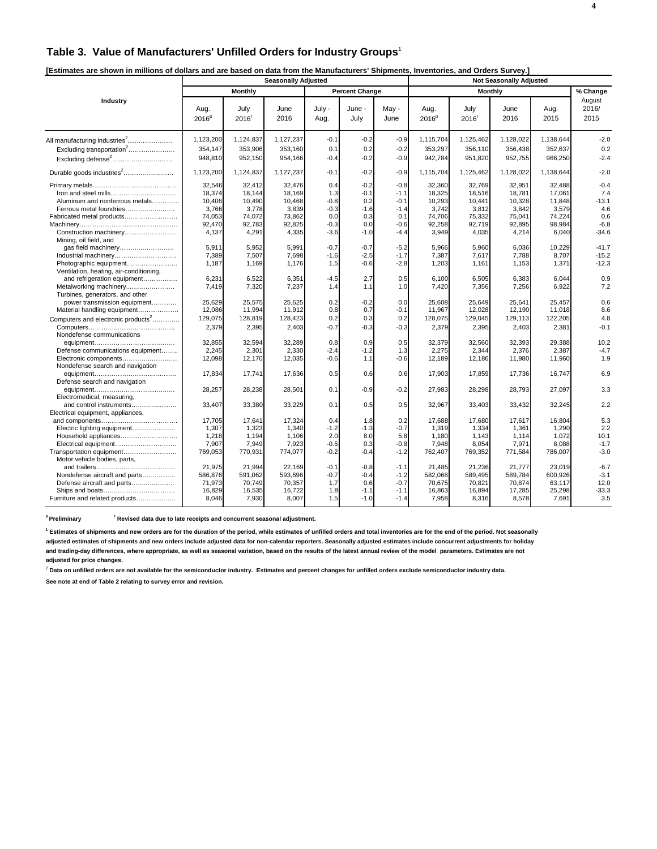# **Table 3. Value of Manufacturers' Unfilled Orders for Industry Groups**<sup>1</sup>

| [Estimates are shown in millions of dollars and are based on data from the Manufacturers' Shipments, Inventories, and Orders Survey, |         |                            |                       |  |                                |        |
|--------------------------------------------------------------------------------------------------------------------------------------|---------|----------------------------|-----------------------|--|--------------------------------|--------|
|                                                                                                                                      |         | <b>Seasonally Adiusted</b> |                       |  | <b>Not Seasonally Adiusted</b> |        |
|                                                                                                                                      | Monthly |                            | <b>Percent Change</b> |  | Monthiv                        | Change |
| Industry                                                                                                                             |         |                            |                       |  |                                | August |

| July -<br>Aug.<br>July<br>June<br>June -<br>May -<br>Aug.<br>July<br>June<br>Aug.<br>2016<br>2016<br>2015<br>2016 <sup>p</sup><br>$2016$ <sup>r</sup><br>Aug.<br>July<br>June<br>2016 <sup>p</sup><br>2016'<br>All manufacturing industries <sup>2</sup><br>1,123,200<br>1,124,837<br>1,127,237<br>$-0.2$<br>$-0.9$<br>1,115,704<br>1,125,462<br>1,128,022<br>1,138,644<br>$-0.1$ | 2016/<br>2015<br>$-2.0$<br>0.2<br>$-2.4$ |
|-----------------------------------------------------------------------------------------------------------------------------------------------------------------------------------------------------------------------------------------------------------------------------------------------------------------------------------------------------------------------------------|------------------------------------------|
|                                                                                                                                                                                                                                                                                                                                                                                   |                                          |
|                                                                                                                                                                                                                                                                                                                                                                                   |                                          |
|                                                                                                                                                                                                                                                                                                                                                                                   |                                          |
|                                                                                                                                                                                                                                                                                                                                                                                   |                                          |
| 354,147<br>352,637<br>Excluding transportation <sup>2</sup><br>353,906<br>353,160<br>0.1<br>0.2<br>$-0.2$<br>353,297<br>356,110<br>356,438                                                                                                                                                                                                                                        |                                          |
| Excluding defense <sup>2</sup><br>948,810<br>952,150<br>954,166<br>$-0.4$<br>$-0.2$<br>$-0.9$<br>942,784<br>951,820<br>952,755<br>966,250                                                                                                                                                                                                                                         |                                          |
| Durable goods industries <sup>2</sup><br>1,123,200<br>1,124,837<br>1,127,237<br>$-0.1$<br>$-0.2$<br>$-0.9$<br>1,115,704<br>1,125,462<br>1,128,022<br>1,138,644                                                                                                                                                                                                                    | $-2.0$                                   |
| 32.546<br>32,412<br>32.476<br>0.4<br>$-0.2$<br>$-0.8$<br>32,360<br>32.769<br>32,951<br>32.488                                                                                                                                                                                                                                                                                     | $-0.4$                                   |
| 18,374<br>18,144<br>18,169<br>1.3<br>$-0.1$<br>$-1.1$<br>18.325<br>18,516<br>18,781<br>17.061                                                                                                                                                                                                                                                                                     | 7.4                                      |
| Aluminum and nonferrous metals<br>10,406<br>10,490<br>10,468<br>$-0.8$<br>0.2<br>$-0.1$<br>10,293<br>10,441<br>10,328<br>11,848                                                                                                                                                                                                                                                   | $-13.1$                                  |
| 3.839<br>$-0.3$<br>3.742<br>3.579<br>Ferrous metal foundries<br>3.766<br>3,778<br>$-1.6$<br>$-1.4$<br>3,812<br>3,842                                                                                                                                                                                                                                                              | 4.6                                      |
| Fabricated metal products<br>74,053<br>74,072<br>73,862<br>0.0<br>0.3<br>0.1<br>74,706<br>75,332<br>75.041<br>74.224                                                                                                                                                                                                                                                              | 0.6                                      |
| 92,470<br>92,783<br>92,825<br>$-0.3$<br>92,258<br>92,719<br>98,984<br>0.0<br>$-0.6$<br>92,895                                                                                                                                                                                                                                                                                     | $-6.8$                                   |
| 4,291<br>4,335<br>$-3.6$<br>4,035<br>Construction machinery<br>4,137<br>$-1.0$<br>$-4.4$<br>3,949<br>4,214<br>6,040                                                                                                                                                                                                                                                               | $-34.6$                                  |
| Mining, oil field, and                                                                                                                                                                                                                                                                                                                                                            |                                          |
| 5.911<br>5.952<br>5.991<br>$-0.7$<br>$-0.7$<br>$-5.2$<br>5.966<br>5.960<br>6.036<br>10.229<br>gas field machinery                                                                                                                                                                                                                                                                 | $-41.7$                                  |
| 7,698<br>7,389<br>7.507<br>$-1.6$<br>$-2.5$<br>$-1.7$<br>7,387<br>7.617<br>7,788<br>8.707<br>Industrial machinery                                                                                                                                                                                                                                                                 | $-15.2$                                  |
| Photographic equipment<br>1,187<br>1,169<br>1,176<br>$-2.8$<br>1,203<br>1,371<br>1.5<br>$-0.6$<br>1,161<br>1,153                                                                                                                                                                                                                                                                  | $-12.3$                                  |
| Ventilation, heating, air-conditioning,                                                                                                                                                                                                                                                                                                                                           |                                          |
| 6,231<br>6,522<br>6,351<br>$-4.5$<br>2.7<br>0.5<br>6.100<br>6,505<br>6,044<br>and refrigeration equipment<br>6,383                                                                                                                                                                                                                                                                | 0.9                                      |
| Metalworking machinery<br>7.419<br>7.320<br>7.237<br>1.0<br>7,420<br>7.356<br>7,256<br>6.922<br>1.4<br>1.1                                                                                                                                                                                                                                                                        | 7.2                                      |
| Turbines, generators, and other                                                                                                                                                                                                                                                                                                                                                   |                                          |
| 25.629<br>25.575<br>25.625<br>0.2<br>$-0.2$<br>0.0<br>25.649<br>25.641<br>power transmission equipment<br>25.608<br>25.457                                                                                                                                                                                                                                                        | 0.6                                      |
| 11,994<br>11,912<br>0.8<br>12,028<br>Material handling equipment<br>12,086<br>0.7<br>$-0.1$<br>11,967<br>12,190<br>11,018                                                                                                                                                                                                                                                         | 8.6                                      |
| Computers and electronic products <sup>2</sup><br>129,075<br>128,819<br>128,423<br>0.2<br>0.3<br>0.2<br>128,075<br>129,045<br>129.113<br>122,205                                                                                                                                                                                                                                  | 4.8                                      |
| 2,379<br>2,395<br>$-0.7$<br>$-0.3$<br>$-0.3$<br>2,379<br>2,395<br>2,381<br>2,403<br>2,403                                                                                                                                                                                                                                                                                         | $-0.1$                                   |
| Nondefense communications                                                                                                                                                                                                                                                                                                                                                         |                                          |
| 32,855<br>32,594<br>32,289<br>0.8<br>0.9<br>0.5<br>32,379<br>32,560<br>32,393<br>29,388                                                                                                                                                                                                                                                                                           | 10.2                                     |
| Defense communications equipment<br>2,245<br>2,301<br>2,330<br>$-2.4$<br>$-1.2$<br>1.3<br>2.275<br>2.344<br>2,376<br>2.387                                                                                                                                                                                                                                                        | $-4.7$                                   |
| $-0.6$<br>12,186<br>Electronic components<br>12,098<br>12,170<br>12,035<br>$-0.6$<br>1.1<br>12,189<br>11,980<br>11,960                                                                                                                                                                                                                                                            | 1.9                                      |
| Nondefense search and navigation                                                                                                                                                                                                                                                                                                                                                  |                                          |
| 17,834<br>17,741<br>17,636<br>0.5<br>0.6<br>0.6<br>17,903<br>17,859<br>17,736<br>16,747                                                                                                                                                                                                                                                                                           | 6.9                                      |
| Defense search and navigation                                                                                                                                                                                                                                                                                                                                                     |                                          |
| $-0.2$<br>28,257<br>28,238<br>28,501<br>0.1<br>$-0.9$<br>27,983<br>28,298<br>28,793<br>27,097                                                                                                                                                                                                                                                                                     | 3.3                                      |
| Electromedical, measuring,                                                                                                                                                                                                                                                                                                                                                        |                                          |
| 0.5<br>33,407<br>33,380<br>33,229<br>0.1<br>32,245<br>and control instruments<br>0.5<br>32,967<br>33,403<br>33,432                                                                                                                                                                                                                                                                | 2.2                                      |
| Electrical equipment, appliances,                                                                                                                                                                                                                                                                                                                                                 |                                          |
| 0.2<br>17.705<br>17.641<br>17.324<br>0.4<br>1.8<br>17.688<br>17.680<br>17.617<br>16.804                                                                                                                                                                                                                                                                                           | 5.3                                      |
| 1,323<br>1,340<br>$-1.2$<br>$-1.3$<br>$-0.7$<br>1,307<br>1.319<br>1,334<br>1.361<br>1.290<br>Electric lighting equipment                                                                                                                                                                                                                                                          | 2.2                                      |
| 1.106<br>1,218<br>1.194<br>2.0<br>8.0<br>5.8<br>1.180<br>1,143<br>1,114<br>1.072<br>Household appliances                                                                                                                                                                                                                                                                          | 10.1                                     |
| 8,054<br>Electrical equipment<br>7,907<br>7,949<br>7,923<br>$-0.5$<br>0.3<br>$-0.8$<br>7,948<br>7,971<br>8,088                                                                                                                                                                                                                                                                    | $-1.7$                                   |
| 770,931<br>$-0.2$<br>769,352<br>Transportation equipment<br>769,053<br>774,077<br>$-0.4$<br>$-1.2$<br>762,407<br>771,584<br>786,007                                                                                                                                                                                                                                               | $-3.0$                                   |
| Motor vehicle bodies, parts,                                                                                                                                                                                                                                                                                                                                                      |                                          |
| 21.975<br>21,994<br>22,169<br>$-0.1$<br>$-0.8$<br>$-1.1$<br>21.485<br>21,236<br>21,777<br>23,019                                                                                                                                                                                                                                                                                  | $-6.7$                                   |
| 586,876<br>591,062<br>593,696<br>$-0.7$<br>$-0.4$<br>$-1.2$<br>582,068<br>589,495<br>589,784<br>600,926<br>Nondefense aircraft and parts                                                                                                                                                                                                                                          | $-3.1$                                   |
| 70,749<br>70,357<br>1.7<br>$-0.7$<br>70,675<br>70,821<br>63,117<br>Defense aircraft and parts<br>71,973<br>0.6<br>70,874                                                                                                                                                                                                                                                          | 12.0                                     |
| 16,894<br>16,829<br>16,535<br>16.722<br>1.8<br>$-1.1$<br>$-1.1$<br>16,863<br>17,285<br>25,298                                                                                                                                                                                                                                                                                     | $-33.3$                                  |
| 7,930<br>8,007<br>Furniture and related products<br>8,046<br>1.5<br>$-1.0$<br>$-1.4$<br>7,958<br>8,316<br>8,578<br>7,691                                                                                                                                                                                                                                                          | 3.5                                      |

<sup>p</sup> Preliminary **read Figure 1 Revised data due to late receipts and concurrent seasonal adjustment.** 

**1 Estimates of shipments and new orders are for the duration of the period, while estimates of unfilled orders and total inventories are for the end of the period. Not seasonally**

**adjusted estimates of shipments and new orders include adjusted data for non-calendar reporters. Seasonally adjusted estimates include concurrent adjustments for holiday and trading-day differences, where appropriate, as well as seasonal variation, based on the results of the latest annual review of the model parameters. Estimates are not adjusted for price changes.**

<sup>2</sup> Data on unfilled orders are not available for the semiconductor industry. Estimates and percent changes for unfilled orders exclude semiconductor industry data.

**See note at end of Table 2 relating to survey error and revision.**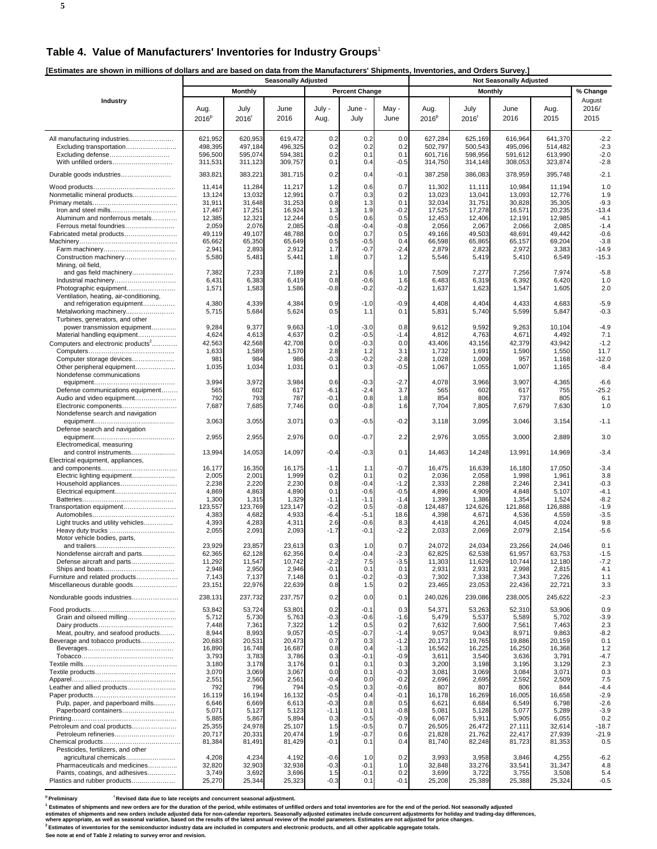## **Table 4. Value of Manufacturers' Inventories for Industry Groups**<sup>1</sup>

**[Estimates are shown in millions of dollars and are based on data from the Manufacturers' Shipments, Inventories, and Orders Survey.]** 

|                                                                  |                           |                           | <b>Seasonally Adjusted</b> |                | a nom aro manaraotaroro ompinomo |                  |                           |                  |                  |                 |                         |
|------------------------------------------------------------------|---------------------------|---------------------------|----------------------------|----------------|----------------------------------|------------------|---------------------------|------------------|------------------|-----------------|-------------------------|
|                                                                  |                           | <b>Monthly</b>            |                            |                | <b>Percent Change</b>            |                  |                           | <b>Monthly</b>   |                  |                 | % Change                |
| Industry                                                         | Aug.<br>2016 <sup>P</sup> | July<br>2016 <sup>r</sup> | June<br>2016               | July -<br>Aug. | June -<br>July                   | May -<br>June    | Aug.<br>2016 <sup>p</sup> | July<br>$2016^r$ | June<br>2016     | Aug.<br>2015    | August<br>2016/<br>2015 |
|                                                                  |                           |                           |                            |                |                                  |                  |                           |                  |                  |                 |                         |
|                                                                  | 621,952                   | 620,953                   | 619,472                    | 0.2            | 0.2                              | 0.0              | 627,284                   | 625,169          | 616,964          | 641,370         | $-2.2$                  |
| Excluding transportation                                         | 498,395                   | 497,184                   | 496,325                    | 0.2            | 0.2                              | 0.2              | 502,797                   | 500,543          | 495,096          | 514,482         | $-2.3$                  |
| Excluding defense                                                | 596,500                   | 595,074                   | 594,381                    | 0.2            | 0.1                              | 0.1              | 601,716                   | 598,956          | 591,612          | 613,990         | $-2.0$<br>$-2.8$        |
| With unfilled orders                                             | 311,531                   | 311,123                   | 309,757                    | 0.1            | 0.4                              | $-0.5$           | 314,750                   | 314,148          | 308,053          | 323,874         |                         |
| Durable goods industries                                         | 383,821                   | 383,221                   | 381,715                    | 0.2            | 0.4                              | $-0.1$           | 387,258                   | 386,083          | 378,959          | 395,748         | $-2.1$                  |
|                                                                  | 11,414                    | 11,284                    | 11,217                     | 1.2            | 0.6                              | 0.7              | 11,302                    | 11,111           | 10,984           | 11,194          | 1.0                     |
| Nonmetallic mineral products                                     | 13,124                    | 13,032                    | 12,991                     | 0.7            | 0.3                              | 0.2              | 13,023                    | 13,041           | 13,093           | 12,776          | 1.9                     |
|                                                                  | 31,911                    | 31,648                    | 31,253                     | 0.8            | 1.3                              | 0.1              | 32,034                    | 31,751           | 30,828           | 35,305          | $-9.3$                  |
|                                                                  | 17,467                    | 17,251                    | 16,924                     | 1.3            | 1.9                              | $-0.2$           | 17,525                    | 17,278           | 16,571           | 20,235          | $-13.4$                 |
| Aluminum and nonferrous metals                                   | 12,385                    | 12,321                    | 12,244                     | 0.5            | 0.6                              | 0.5              | 12,453                    | 12,406           | 12,191           | 12,985          | $-4.1$                  |
| Fabricated metal products                                        | 2,059<br>49,119           | 2,076<br>49,107           | 2,085<br>48,788            | $-0.8$<br>0.0  | -0.4<br>0.7                      | $-0.8$<br>0.5    | 2,056<br>49,166           | 2,067<br>49,503  | 2,066<br>48,691  | 2,085<br>49,442 | $-1.4$<br>$-0.6$        |
|                                                                  | 65,662                    | 65,350                    | 65,649                     | 0.5            | $-0.5$                           | 0.4              | 66,598                    | 65,865           | 65,157           | 69,204          | $-3.8$                  |
|                                                                  | 2,941                     | 2,893                     | 2,912                      | 1.7            | $-0.7$                           | $-2.4$           | 2,879                     | 2,823            | 2,972            | 3,383           | $-14.9$                 |
| Construction machinery                                           | 5,580                     | 5,481                     | 5,441                      | 1.8            | 0.7                              | 1.2              | 5,546                     | 5,419            | 5,410            | 6,549           | -15.3                   |
| Mining, oil field,                                               |                           |                           |                            |                |                                  |                  |                           |                  |                  |                 |                         |
| and gas field machinery                                          | 7,382<br>6,431            | 7,233<br>6,383            | 7,189<br>6,419             | 2.1<br>0.8     | 0.6<br>-0.6                      | 1.0<br>1.6       | 7,509<br>6,483            | 7,277<br>6,319   | 7,256<br>6,392   | 7,974<br>6,420  | $-5.8$<br>1.0           |
| Photographic equipment                                           | 1,571                     | 1,583                     | 1,586                      | $-0.8$         | -0.2                             | $-0.2$           | 1,637                     | 1,623            | 1,547            | 1,605           | 2.0                     |
| Ventilation, heating, air-conditioning,                          |                           |                           |                            |                |                                  |                  |                           |                  |                  |                 |                         |
| and refrigeration equipment                                      | 4,380                     | 4,339                     | 4,384                      | 0.9            | $-1.0$                           | $-0.9$           | 4,408                     | 4,404            | 4,433            | 4,683           | $-5.9$                  |
| Metalworking machinery                                           | 5,715                     | 5,684                     | 5,624                      | 0.5            | 1.1                              | 0.1              | 5,831                     | 5,740            | 5,599            | 5,847           | $-0.3$                  |
| Turbines, generators, and other                                  |                           |                           |                            |                |                                  |                  |                           |                  |                  |                 |                         |
| power transmission equipment<br>Material handling equipment      | 9,284<br>4,624            | 9,377<br>4,613            | 9,663<br>4,637             | -1.0<br>0.2    | $-3.0$<br>$-0.5$                 | 0.8<br>$-1.4$    | 9,612<br>4,812            | 9,592<br>4,763   | 9,263<br>4,671   | 10,104<br>4,492 | $-4.9$<br>7.1           |
| Computers and electronic products <sup>2</sup>                   | 42,563                    | 42,568                    | 42,708                     | 0.0            | $-0.3$                           | 0.0              | 43,406                    | 43,156           | 42,379           | 43,942          | $-1.2$                  |
|                                                                  | 1,633                     | 1,589                     | 1,570                      | 2.8            | 1.2                              | 3.1              | 1,732                     | 1,691            | 1,590            | 1,550           | 11.7                    |
| Computer storage devices                                         | 981                       | 984                       | 986                        | $-0.3$         | $-0.2$                           | $-2.8$           | 1,028                     | 1,009            | 957              | 1,168           | $-12.0$                 |
| Other peripheral equipment                                       | 1,035                     | 1,034                     | 1,031                      | 0.1            | 0.3                              | $-0.5$           | 1,067                     | 1,055            | 1,007            | 1,165           | $-8.4$                  |
| Nondefense communications                                        |                           |                           |                            |                |                                  |                  |                           |                  |                  |                 |                         |
|                                                                  | 3,994<br>565              | 3,972<br>602              | 3,984<br>617               | 0.6<br>-6.1    | $-0.3$<br>$-2.4$                 | -2.7<br>3.7      | 4,078<br>565              | 3,966<br>602     | 3,907<br>617     | 4,365<br>755    | $-6.6$<br>$-25.2$       |
| Defense communications equipment<br>Audio and video equipment    | 792                       | 793                       | 787                        | $-0.1$         | 0.8                              | 1.8              | 854                       | 806              | 737              | 805             | 6.1                     |
| Electronic components                                            | 7,687                     | 7,685                     | 7,746                      | 0.0            | -0.8                             | 1.6              | 7,704                     | 7,805            | 7,679            | 7,630           | 1.0                     |
| Nondefense search and navigation                                 |                           |                           |                            |                |                                  |                  |                           |                  |                  |                 |                         |
|                                                                  | 3,063                     | 3,055                     | 3,071                      | 0.3            | $-0.5$                           | $-0.2$           | 3,118                     | 3,095            | 3,046            | 3,154           | $-1.1$                  |
| Defense search and navigation                                    |                           |                           |                            |                |                                  |                  |                           |                  |                  |                 | 3.0                     |
| Electromedical, measuring                                        | 2,955                     | 2,955                     | 2,976                      | 0.0            | $-0.7$                           | 2.2              | 2,976                     | 3,055            | 3,000            | 2,889           |                         |
| and control instruments                                          | 13,994                    | 14,053                    | 14,097                     | $-0.4$         | $-0.3$                           | 0.1              | 14,463                    | 14,248           | 13,991           | 14,969          | $-3.4$                  |
| Electrical equipment, appliances,                                |                           |                           |                            |                |                                  |                  |                           |                  |                  |                 |                         |
|                                                                  | 16,177                    | 16,350                    | 16,175                     | $-1.1$         | 1.1                              | $-0.7$           | 16,475                    | 16,639           | 16,180           | 17,050          | $-3.4$                  |
| Electric lighting equipment                                      | 2,005<br>2,238            | 2,001<br>2,220            | 1,999<br>2,230             | 0.2<br>0.8     | 0.1<br>$-0.4$                    | 0.2<br>$-1.2$    | 2,036<br>2,333            | 2,058<br>2,288   | 1,998<br>2,246   | 1,961<br>2,341  | 3.8<br>$-0.3$           |
|                                                                  | 4,869                     | 4,863                     | 4,890                      | 0.1            | -0.6                             | $-0.5$           | 4,896                     | 4,909            | 4,848            | 5,107           | $-4.1$                  |
|                                                                  | 1,300                     | 1,315                     | 1,329                      | -1.1           | $-1.1$                           | $-1.4$           | 1,399                     | 1,386            | 1,354            | 1,524           | $-8.2$                  |
| Transportation equipment                                         | 123,557                   | 123,769                   | 123,147                    | $-0.2$         | 0.5                              | $-0.8$           | 124,487                   | 124,626          | 121,868          | 126,888         | $-1.9$                  |
|                                                                  | 4,383                     | 4,682                     | 4,933                      | $-6.4$         | -5.1                             | 18.6             | 4,398                     | 4,671            | 4,536            | 4,559           | $-3.5$                  |
| Light trucks and utility vehicles                                | 4,393<br>2,055            | 4,283<br>2,091            | 4,311<br>2,093             | 2.6<br>-1.7    | $-0.6$<br>-0.1                   | 8.3<br>$-2.2$    | 4,418<br>2,033            | 4,261<br>2,069   | 4,045<br>2,079   | 4,024<br>2,154  | 9.8<br>$-5.6$           |
| Motor vehicle bodies, parts,                                     |                           |                           |                            |                |                                  |                  |                           |                  |                  |                 |                         |
|                                                                  | 23,929                    | 23,857                    | 23,613                     | 0.3            | 1.0                              | 0.7              | 24,072                    | 24,034           | 23,266           | 24,046          | 0.1                     |
| Nondefense aircraft and parts                                    | 62,365                    | 62,128                    | 62,356                     | 0.4            | $-0.4$                           | 2.3              | 62,825                    | 62,538           | 61,957           | 63,753          | $-1.5$                  |
| Defense aircraft and parts                                       | 11,292                    | 11,547                    | 10,742                     | $-2.2$         | 7.5                              | $-3.5$           | 11,303                    | 11,629           | 10,744           | 12,180          | $-7.2$                  |
| Ships and boats<br>Furniture and related products                | 2,948<br>7,143            | 2,950<br>7,137            | 2,946<br>7,148             | $-0.1$<br>0.1  | 0.1<br>$-0.2$                    | 0.1<br>$-0.3$    | 2,931<br>7,302            | 2,931<br>7,338   | 2,998<br>7,343   | 2,815<br>7,226  | 4.1<br>1.1              |
| Miscellaneous durable goods                                      | 23,151                    | 22,976                    | 22,639                     | 0.8            | 1.5                              | 0.2              | 23,465                    | 23,053           | 22,436           | 22,721          | 3.3                     |
| Nondurable goods industries                                      | 238,131                   | 237,732                   | 237,757                    | 0.2            | 0.0                              | 0.1              | 240,026                   | 239,086          | 238,005          | 245,622         | $-2.3$                  |
|                                                                  |                           |                           |                            |                |                                  |                  |                           |                  |                  |                 |                         |
|                                                                  | 53,842                    | 53,724                    | 53,801                     | 0.2            | $-0.1$                           | 0.3              | 54,371                    | 53,263           | 52,310           | 53,906          | 0.9                     |
| Grain and oilseed milling                                        | 5,712                     | 5,730                     | 5,763                      | $-0.3$         | $-0.6$                           | $-1.6$           | 5,479                     | 5,537            | 5,589            | 5,702           | $-3.9$                  |
| Meat, poultry, and seafood products                              | 7,448<br>8,944            | 7,361<br>8,993            | 7,322<br>9,057             | 1.2<br>$-0.5$  | 0.5<br>-0.7                      | 0.2<br>$-1.4$    | 7,632<br>9,057            | 7,600<br>9,043   | 7,561<br>8,971   | 7,463<br>9,863  | 2.3<br>$-8.2$           |
| Beverage and tobacco products                                    | 20,683                    | 20,531                    | 20,473                     | 0.7            | 0.3                              | $-1.2$           | 20,173                    | 19,765           | 19,886           | 20,159          | 0.1                     |
|                                                                  | 16,890                    | 16,748                    | 16,687                     | 0.8            | 0.4                              | $-1.3$           | 16,562                    | 16,225           | 16,250           | 16,368          | 1.2                     |
|                                                                  | 3,793                     | 3,783                     | 3,786                      | 0.3            | -0.1                             | $-0.9$           | 3,611                     | 3,540            | 3,636            | 3,791           | $-4.7$                  |
|                                                                  | 3,180                     | 3,178                     | 3,176                      | 0.1            | 0.1                              | 0.3              | 3,200                     | 3,198            | 3,195            | 3,129           | 2.3                     |
|                                                                  | 3,070<br>2,551            | 3,069<br>2,560            | 3,067<br>2,561             | 0.0<br>$-0.4$  | 0.1<br>0.0                       | $-0.3$<br>$-0.2$ | 3,081<br>2,696            | 3,069<br>2,695   | 3,084<br>2,592   | 3,071<br>2,509  | 0.3<br>7.5              |
| Leather and allied products                                      | 792                       | 796                       | 794                        | $-0.5$         | 0.3                              | $-0.6$           | 807                       | 807              | 806              | 844             | $-4.4$                  |
|                                                                  | 16,119                    | 16,194                    | 16,132                     | $-0.5$         | 0.4                              | $-0.1$           | 16,178                    | 16,269           | 16,005           | 16,658          | $-2.9$                  |
| Pulp, paper, and paperboard mills                                | 6,646                     | 6,669                     | 6,613                      | $-0.3$         | 0.8                              | 0.5              | 6,621                     | 6,684            | 6,549            | 6,798           | $-2.6$                  |
| Paperboard containers                                            | 5,071                     | 5,127                     | 5,123                      | $-1.1$         | 0.1                              | $-0.8$           | 5,081                     | 5,128            | 5,077            | 5,289           | $-3.9$                  |
|                                                                  | 5,885                     | 5,867                     | 5,894                      | 0.3<br>1.5     | $-0.5$<br>$-0.5$                 | $-0.9$<br>0.7    | 6,067                     | 5,911            | 5,905            | 6,055<br>32,614 | 0.2                     |
| Petroleum and coal products<br>Petroleum refineries              | 25,355<br>20,717          | 24,978<br>20,331          | 25,107<br>20,474           | 1.9            | $-0.7$                           | 0.6              | 26,505<br>21,828          | 26,472<br>21,762 | 27,111<br>22,417 | 27,939          | -18.7<br>$-21.9$        |
|                                                                  | 81,384                    | 81,491                    | 81,429                     | -0.1           | 0.1                              | 0.4              | 81,740                    | 82,248           | 81,723           | 81,353          | 0.5                     |
| Pesticides, fertilizers, and other                               |                           |                           |                            |                |                                  |                  |                           |                  |                  |                 |                         |
| agricultural chemicals                                           | 4,208                     | 4,234                     | 4,192                      | $-0.6$         | 1.0                              | 0.2              | 3,993                     | 3,958            | 3,846            | 4,255           | $-6.2$                  |
| Pharmaceuticals and medicines<br>Paints, coatings, and adhesives | 32,820<br>3,749           | 32,903<br>3,692           | 32,938<br>3,696            | $-0.3$<br>1.5  | $-0.1$<br>$-0.1$                 | 1.0<br>0.2       | 32,848<br>3,699           | 33,276<br>3,722  | 33,541<br>3,755  | 31,347<br>3,508 | 4.8<br>5.4              |
| Plastics and rubber products                                     | 25,270                    | 25,344                    | 25,323                     | $-0.3$         | 0.1                              | $-0.1$           | 25,208                    | 25,389           | 25,388           | 25,324          | $-0.5$                  |
|                                                                  |                           |                           |                            |                |                                  |                  |                           |                  |                  |                 |                         |

<sup>p</sup> Preliminary **reliminary Revised data due to late receipts and concurrent seasonal adjustment.** 

<sup>1</sup> Estimates of shipments and new orders are for the duration of the period, while estimates of unfilled orders and total inventories are for the end of the period. Not seasonally adjusted

estimates of shipments and new orders include adjusted data for non-calendar reporters. Seasonally adjusted estimates include concurrent adjustments for holiday and trading-day differences,<br>where appropriate, as well as se

**See note at end of Table 2 relating to survey error and revision.**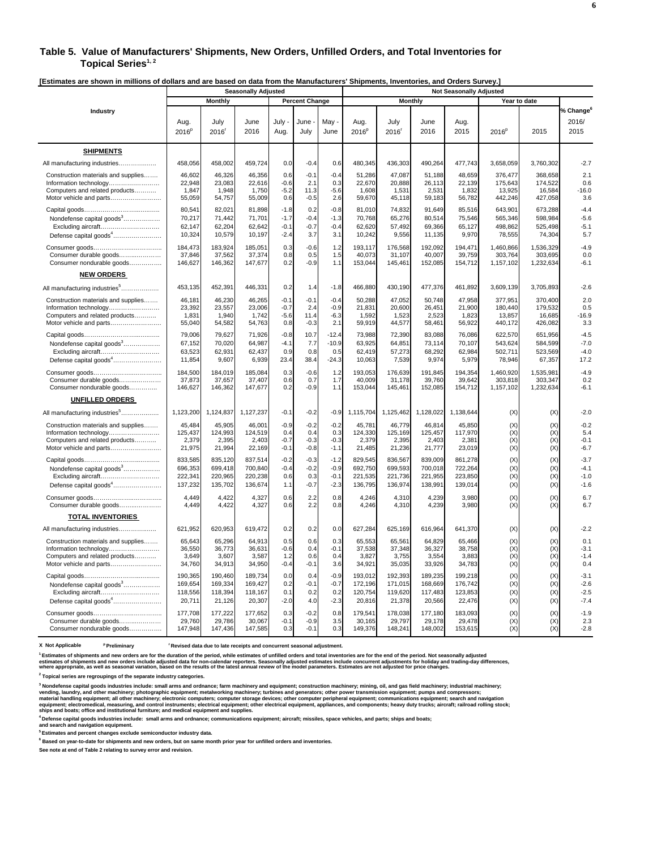#### **Table 5. Value of Manufacturers' Shipments, New Orders, Unfilled Orders, and Total Inventories for**  Topical Series<sup>1,2</sup>

**[Estimates are shown in millions of dollars and are based on data from the Manufacturers' Shipments, Inventories, and Orders Survey.]** 

|                                           | <b>Seasonally Adjusted</b> |              |              |              |                       |               | <b>Not Seasonally Adjusted</b> |                           |              |              |                   |              |                                        |  |
|-------------------------------------------|----------------------------|--------------|--------------|--------------|-----------------------|---------------|--------------------------------|---------------------------|--------------|--------------|-------------------|--------------|----------------------------------------|--|
|                                           |                            | Monthly      |              |              | <b>Percent Change</b> |               |                                | <b>Monthly</b>            |              |              |                   | Year to date |                                        |  |
| Industry                                  | Aug.<br>2016 <sup>p</sup>  | July<br>2016 | June<br>2016 | July<br>Aug. | June<br>July          | May .<br>June | Aug.<br>2016 <sup>p</sup>      | July<br>2016 <sup>r</sup> | June<br>2016 | Aug.<br>2015 | 2016 <sup>p</sup> | 2015         | % Change <sup>6</sup><br>2016/<br>2015 |  |
| <b>SHIPMENTS</b>                          |                            |              |              |              |                       |               |                                |                           |              |              |                   |              |                                        |  |
| All manufacturing industries              | 458,056                    | 458,002      | 459,724      | 0.0          | $-0.4$                | 0.6           | 480,345                        | 436,303                   | 490,264      | 477,743      | 3,658,059         | 3,760,302    | $-2.7$                                 |  |
| Construction materials and supplies       | 46,602                     | 46,326       | 46,356       | 0.6          | $-0.1$                | $-0.4$        | 51,286                         | 47,087                    | 51,188       | 48,659       | 376,477           | 368,658      | 2.1                                    |  |
|                                           | 22,948                     | 23,083       | 22,616       | $-0.6$       | 2.1                   | 0.3           | 22,670                         | 20,888                    | 26,113       | 22,139       | 175,643           | 174,522      | 0.6                                    |  |
| Computers and related products            | 1,847                      | 1,948        | 1,750        | $-5.2$       | 11.3                  | $-5.6$        | 1,608                          | 1,531                     | 2,531        | 1,832        | 13,925            | 16,584       | $-16.0$                                |  |
| Motor vehicle and parts                   | 55,059                     | 54,757       | 55,009       | 0.6          | $-0.5$                | 2.6           | 59,670                         | 45,118                    | 59,183       | 56,782       | 442,246           | 427,058      | 3.6                                    |  |
|                                           | 80,541                     | 82,021       | 81,898       | $-1.8$       | 0.2                   | $-0.8$        | 81,010                         | 74,832                    | 91,649       | 85,516       | 643,901           | 673,288      | $-4.4$                                 |  |
| Nondefense capital goods <sup>3</sup>     | 70,217                     | 71,442       | 71,701       | $-1.7$       | $-0.4$                | $-1.3$        | 70,768                         | 65,276                    | 80,514       | 75,546       | 565,346           | 598,984      | $-5.6$                                 |  |
| Excluding aircraft                        | 62,147                     | 62,204       | 62,642       | $-0.1$       | $-0.7$                | $-0.4$        | 62,620                         | 57,492                    | 69,366       | 65,127       | 498,862           | 525,498      | $-5.1$                                 |  |
| Defense capital goods <sup>4</sup>        | 10,324                     | 10,579       | 10,197       | $-2.4$       | 3.7                   | 3.1           | 10,242                         | 9,556                     | 11,135       | 9,970        | 78,555            | 74,304       | 5.7                                    |  |
|                                           | 184.473                    | 183.924      | 185.051      | 0.3          | $-0.6$                | 1.2           | 193.117                        | 176.568                   | 192.092      | 194.471      | 1.460.866         | 1.536.329    | $-4.9$                                 |  |
| Consumer durable goods                    | 37,846                     | 37,562       | 37,374       | 0.8          | 0.5                   | 1.5           | 40,073                         | 31,107                    | 40,007       | 39,759       | 303,764           | 303,695      | 0.0                                    |  |
| Consumer nondurable goods                 | 146,627                    | 146,362      | 147,677      | 0.2          | $-0.9$                | 1.1           | 153,044                        | 145,461                   | 152,085      | 154,712      | 1,157,102         | 1,232,634    | $-6.1$                                 |  |
| <b>NEW ORDERS</b>                         |                            |              |              |              |                       |               |                                |                           |              |              |                   |              |                                        |  |
| All manufacturing industries <sup>5</sup> | 453,135                    | 452,391      | 446,331      | 0.2          | 1.4                   | $-1.8$        | 466,880                        | 430,190                   | 477,376      | 461,892      | 3,609,139         | 3,705,893    | $-2.6$                                 |  |
| Construction materials and supplies       | 46,181                     | 46,230       | 46,265       | $-0.1$       | $-0.1$                | $-0.4$        | 50,288                         | 47,052                    | 50,748       | 47,958       | 377,951           | 370,400      | 2.0                                    |  |
| Information technology                    | 23,392                     | 23,557       | 23,006       | $-0.7$       | 2.4                   | $-0.9$        | 21,831                         | 20,600                    | 26,451       | 21,900       | 180,440           | 179,532      | 0.5                                    |  |
| Computers and related products            | 1,831                      | 1,940        | 1,742        | $-5.6$       | 11.4                  | $-6.3$        | 1,592                          | 1,523                     | 2,523        | 1,823        | 13,857            | 16,685       | $-16.9$                                |  |
| Motor vehicle and parts                   | 55,040                     | 54,582       | 54,763       | 0.8          | $-0.3$                | 2.1           | 59,919                         | 44,577                    | 58,461       | 56,922       | 440,172           | 426,082      | 3.3                                    |  |
|                                           | 79,006                     | 79,627       | 71,926       | $-0.8$       | 10.7                  | $-12.4$       | 73,988                         | 72,390                    | 83.088       | 76.086       | 622,570           | 651,956      | $-4.5$                                 |  |
| Nondefense capital goods <sup>3</sup>     | 67,152                     | 70,020       | 64,987       | $-4.1$       | 7.7                   | $-10.9$       | 63,925                         | 64,851                    | 73,114       | 70,107       | 543,624           | 584,599      | $-7.0$                                 |  |
| Excluding aircraft                        | 63,523                     | 62.931       | 62.437       | 0.9          | 0.8                   | 0.5           | 62,419                         | 57,273                    | 68,292       | 62,984       | 502,711           | 523,569      | $-4.0$                                 |  |
| Defense capital goods <sup>4</sup>        | 11,854                     | 9,607        | 6,939        | 23.4         | 38.4                  | $-24.3$       | 10,063                         | 7,539                     | 9,974        | 5,979        | 78,946            | 67,357       | 17.2                                   |  |
|                                           | 184,500                    | 184,019      | 185,084      | 0.3          | $-0.6$                | 1.2           | 193,053                        | 176,639                   | 191,845      | 194,354      | 1,460,920         | 1,535,981    | $-4.9$                                 |  |
| Consumer durable goods                    | 37,873                     | 37,657       | 37,407       | 0.6          | 0.7                   | 1.7           | 40,009                         | 31,178                    | 39,760       | 39,642       | 303,818           | 303,347      | 0.2                                    |  |
| Consumer nondurable goods                 | 146,627                    | 146,362      | 147,677      | 0.2          | $-0.9$                | 1.1           | 153,044                        | 145,461                   | 152,085      | 154,712      | 1,157,102         | 1,232,634    | $-6.1$                                 |  |
| <b>UNFILLED ORDERS</b>                    |                            |              |              |              |                       |               |                                |                           |              |              |                   |              |                                        |  |
| All manufacturing industries <sup>5</sup> | 1,123,200                  | 1,124,837    | 1,127,237    | $-0.1$       | $-0.2$                | $-0.9$        | 1,115,704                      | 1,125,462                 | 1,128,022    | 1,138,644    | (X)               | (X)          | $-2.0$                                 |  |
| Construction materials and supplies       | 45,484                     | 45,905       | 46,001       | $-0.9$       | $-0.2$                | $-0.2$        | 45,781                         | 46,779                    | 46,814       | 45,850       | (X)               | (X)          | $-0.2$                                 |  |
| Information technology                    | 125,437                    | 124,993      | 124,519      | 0.4          | 0.4                   | 0.3           | 124,330                        | 125,169                   | 125,457      | 117,970      | (X)               | (X)          | 5.4                                    |  |
| Computers and related products            | 2,379                      | 2.395        | 2.403        | $-0.7$       | $-0.3$                | $-0.3$        | 2.379                          | 2.395                     | 2.403        | 2.381        | (X)               | (X)          | $-0.1$                                 |  |
| Motor vehicle and parts                   | 21,975                     | 21,994       | 22,169       | $-0.1$       | $-0.8$                | $-1.1$        | 21,485                         | 21,236                    | 21,777       | 23,019       | (X)               | (X)          | $-6.7$                                 |  |
|                                           | 833,585                    | 835,120      | 837,514      | $-0.2$       | $-0.3$                | $-1.2$        | 829,545                        | 836,567                   | 839,009      | 861,278      | (X)               | (X)          | $-3.7$                                 |  |
| Nondefense capital goods <sup>3</sup>     | 696,353                    | 699,418      | 700,840      | $-0.4$       | $-0.2$                | $-0.9$        | 692,750                        | 699,593                   | 700,018      | 722,264      | (X)               | (X)          | $-4.1$                                 |  |
| Excluding aircraft                        | 222,341                    | 220,965      | 220,238      | 0.6          | 0.3                   | $-0.1$        | 221,535                        | 221,736                   | 221,955      | 223,850      | (X)               | (X)          | $-1.0$                                 |  |
| Defense capital goods <sup>4</sup>        | 137,232                    | 135,702      | 136,674      | 1.1          | $-0.7$                | $-2.3$        | 136,795                        | 136,974                   | 138,991      | 139,014      | (X)               | (X)          | $-1.6$                                 |  |
|                                           | 4,449                      | 4.422        | 4,327        | 0.6          | 2.2                   | 0.8           | 4,246                          | 4,310                     | 4,239        | 3,980        | (X)               | (X)          | 6.7                                    |  |
| Consumer durable goods                    | 4,449                      | 4,422        | 4,327        | 0.6          | 2.2                   | 0.8           | 4,246                          | 4,310                     | 4,239        | 3,980        | (X)               | (X)          | 6.7                                    |  |
| <b>TOTAL INVENTORIES</b>                  |                            |              |              |              |                       |               |                                |                           |              |              |                   |              |                                        |  |
| All manufacturing industries              | 621,952                    | 620,953      | 619,472      | 0.2          | 0.2                   | 0.0           | 627,284                        | 625,169                   | 616,964      | 641,370      | (X)               | (X)          | $-2.2$                                 |  |
| Construction materials and supplies       | 65,643                     | 65,296       | 64,913       | 0.5          | 0.6                   | 0.3           | 65,553                         | 65,561                    | 64,829       | 65,466       | (X)               | (X)          | 0.1                                    |  |
| Information technology                    | 36,550                     | 36,773       | 36,631       | $-0.6$       | 0.4                   | $-0.1$        | 37,538                         | 37,348                    | 36,327       | 38,758       | (X)               | (X)          | $-3.1$                                 |  |
| Computers and related products            | 3,649                      | 3,607        | 3,587        | 1.2          | 0.6                   | 0.4           | 3,827                          | 3,755                     | 3,554        | 3,883        | (X)               | (X)          | $-1.4$                                 |  |
| Motor vehicle and parts                   | 34,760                     | 34,913       | 34,950       | $-0.4$       | $-0.1$                | 3.6           | 34,921                         | 35,035                    | 33,926       | 34,783       | (X)               | (X)          | 0.4                                    |  |
|                                           | 190,365                    | 190,460      | 189,734      | 0.0          | 0.4                   | $-0.9$        | 193,012                        | 192,393                   | 189,235      | 199,218      | (X)               | (X)          | $-3.1$                                 |  |
| Nondefense capital goods <sup>3</sup>     | 169,654                    | 169,334      | 169,427      | 0.2          | $-0.1$                | $-0.7$        | 172,196                        | 171,015                   | 168,669      | 176,742      | (X)               | (X)          | $-2.6$                                 |  |
| Excluding aircraft                        | 118,556                    | 118,394      | 118,167      | 0.1          | 0.2                   | 0.2           | 120,754                        | 119,620                   | 117,483      | 123,853      | (X)               | (X)          | $-2.5$                                 |  |
| Defense capital goods <sup>4</sup>        | 20,711                     | 21,126       | 20,307       | $-2.0$       | 4.0                   | $-2.3$        | 20,816                         | 21,378                    | 20,566       | 22,476       | (X)               | (X)          | $-7.4$                                 |  |
|                                           | 177,708                    | 177,222      | 177,652      | 0.3          | $-0.2$                | 0.8           | 179,541                        | 178,038                   | 177,180      | 183,093      | (X)               | (X)          | $-1.9$                                 |  |
| Consumer durable goods                    | 29,760                     | 29,786       | 30,067       | $-0.1$       | $-0.9$                | 3.5           | 30,165                         | 29,797                    | 29,178       | 29,478       | (X)               | (X)          | 2.3                                    |  |
| Consumer nondurable goods                 | 147,948                    | 147,436      | 147,585      | 0.3          | $-0.1$                | 0.3           | 149,376                        | 148,241                   | 148,002      | 153,615      | (X)               | (X)          | $-2.8$                                 |  |

**X** Not Applicable <sup>p</sup> Preliminary <sup>r</sup> Revised data due to late receipts and concurrent seasonal adjustment.

.<br>Estimates of shipments and new orders are for the duration of the period, while estimates of unfilled orders and total inventories are for the end of the period. Not seasonally adjusted<br>estimates of shipments and new ord

**2 Topical series are regroupings of the separate industry categories.**

<sup>3</sup> Nondefense capital goods industries include: small arms and ordnance; farm machinery and equipment; construction machinery; mining, oil, and gas field machinery; industrial machinery;<br>vending, laundry, and other machin

**4 Defense capital goods industries include: small arms and ordnance; communications equipment; aircraft; missiles, space vehicles, and parts; ships and boats; and search and navigation equipment.**

**5 Estimates and percent changes exclude semiconductor industry data.** 

**6 Based on year-to-date for shipments and new orders, but on same month prior year for unfilled orders and inventories.**

**See note at end of Table 2 relating to survey error and revision.**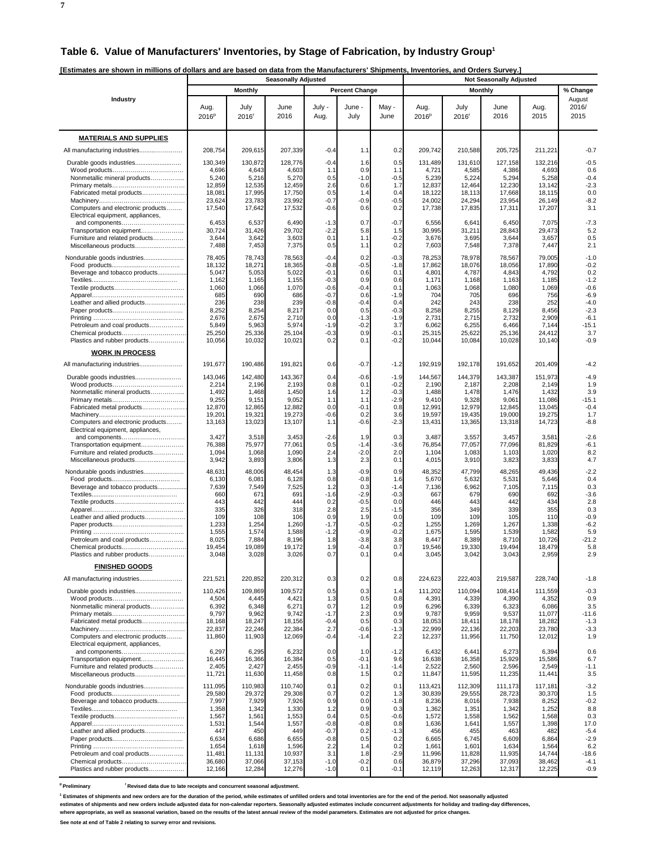**7**

|  | [Estimates are shown in millions of dollars and are based on data from the Manufacturers' Shipments, Inventories, and Orders Survey.] |
|--|---------------------------------------------------------------------------------------------------------------------------------------|
|  |                                                                                                                                       |

| LSunates are Shown in millions or uonars and are based on uata from the manufacturers-ompinents, inventories, and Orders Ourvey |                   |                  | <b>Seasonally Adjusted</b> |                  |                       |                  |                   |                   |                                                  |                  |                   |
|---------------------------------------------------------------------------------------------------------------------------------|-------------------|------------------|----------------------------|------------------|-----------------------|------------------|-------------------|-------------------|--------------------------------------------------|------------------|-------------------|
|                                                                                                                                 |                   | <b>Monthly</b>   |                            |                  | <b>Percent Change</b> |                  |                   |                   | <b>Not Seasonally Adjusted</b><br><b>Monthly</b> |                  | % Change          |
| Industry                                                                                                                        |                   |                  |                            |                  |                       |                  |                   |                   |                                                  |                  | August            |
|                                                                                                                                 | Aug.              | July             | June                       | July -           | June -                | May -            | Aug.              | July              | June                                             | Aug.             | 2016/             |
|                                                                                                                                 | 2016 <sup>p</sup> | 2016             | 2016                       | Aug.             | July                  | June             | 2016 <sup>p</sup> | 2016 <sup>r</sup> | 2016                                             | 2015             | 2015              |
|                                                                                                                                 |                   |                  |                            |                  |                       |                  |                   |                   |                                                  |                  |                   |
| <b>MATERIALS AND SUPPLIES</b>                                                                                                   |                   |                  |                            |                  |                       |                  |                   |                   |                                                  |                  |                   |
| All manufacturing industries                                                                                                    | 208,754           | 209,615          | 207,339                    | $-0.4$           | 1.1                   | 0.2              | 209,742           | 210,588           | 205,725                                          | 211,221          | $-0.7$            |
| Durable goods industries                                                                                                        | 130,349           | 130,872          | 128,776                    | $-0.4$           | 1.6                   | 0.5              | 131,489           | 131,610           | 127,158                                          | 132,216          | $-0.5$            |
| Nonmetallic mineral products                                                                                                    | 4,696<br>5,240    | 4,643<br>5,216   | 4,603<br>5,270             | 1.1<br>0.5       | 0.9<br>$-1.0$         | 1.1<br>$-0.5$    | 4,721<br>5,239    | 4,585<br>5,224    | 4,386<br>5,294                                   | 4,693<br>5,258   | 0.6<br>$-0.4$     |
|                                                                                                                                 | 12,859            | 12,535           | 12,459                     | 2.6              | 0.6                   | 1.7              | 12,837            | 12,464            | 12,230                                           | 13,142           | $-2.3$            |
| Fabricated metal products                                                                                                       | 18,081            | 17,995           | 17,750                     | 0.5              | 1.4                   | 0.4              | 18,122            | 18,113            | 17,668                                           | 18,115           | 0.0               |
| Computers and electronic products                                                                                               | 23,624<br>17,540  | 23,783<br>17,642 | 23,992<br>17,532           | $-0.7$<br>$-0.6$ | $-0.9$<br>0.6         | $-0.5$<br>0.2    | 24,002<br>17,738  | 24,294<br>17,835  | 23,954<br>17,311                                 | 26,149<br>17,207 | $-8.2$<br>3.1     |
| Electrical equipment, appliances,                                                                                               |                   |                  |                            |                  |                       |                  |                   |                   |                                                  |                  |                   |
| and components<br>Transportation equipment                                                                                      | 6,453<br>30,724   | 6,537<br>31,426  | 6,490<br>29,702            | $-1.3$<br>$-2.2$ | 0.7<br>5.8            | -0.7<br>1.5      | 6,556<br>30,995   | 6,641<br>31,211   | 6,450<br>28,843                                  | 7,075<br>29,473  | $-7.3$<br>5.2     |
| Furniture and related products                                                                                                  | 3,644             | 3,642            | 3,603                      | 0.1              | 1.1                   | $-0.2$           | 3,676             | 3,695             | 3,644                                            | 3,657            | 0.5               |
| Miscellaneous products                                                                                                          | 7,488             | 7,453            | 7,375                      | 0.5              | 1.1                   | 0.2              | 7,603             | 7,548             | 7,378                                            | 7,447            | 2.1               |
| Nondurable goods industries                                                                                                     | 78,405            | 78,743           | 78,563                     | $-0.4$           | 0.2                   | $-0.3$           | 78,253            | 78,978            | 78,567                                           | 79,005           | $-1.0$            |
|                                                                                                                                 | 18,132<br>5,047   | 18,271<br>5,053  | 18,365<br>5,022            | $-0.8$           | $-0.5$<br>0.6         | $-1.8$<br>0.1    | 17,862            | 18,076            | 18,056                                           | 17,890<br>4,792  | $-0.2$<br>0.2     |
| Beverage and tobacco products                                                                                                   | 1,162             | 1,165            | 1,155                      | $-0.1$<br>$-0.3$ | 0.9                   | 0.6              | 4,801<br>1,171    | 4,787<br>1,168    | 4,843<br>1,163                                   | 1,185            | $-1.2$            |
|                                                                                                                                 | 1,060             | 1,066            | 1,070                      | $-0.6$           | $-0.4$                | 0.1              | 1,063             | 1,068             | 1,080                                            | 1,069            | $-0.6$            |
| Leather and allied products                                                                                                     | 685<br>236        | 690<br>238       | 686<br>239                 | $-0.7$<br>$-0.8$ | 0.6<br>$-0.4$         | $-1.9$<br>0.4    | 704<br>242        | 705<br>243        | 696<br>238                                       | 756<br>252       | $-6.9$<br>$-4.0$  |
|                                                                                                                                 | 8,252             | 8,254            | 8,217                      | 0.0              | 0.5                   | $-0.3$           | 8,258             | 8,255             | 8,129                                            | 8,456            | $-2.3$            |
|                                                                                                                                 | 2,676             | 2,675            | 2,710                      | 0.0              | $-1.3$                | $-1.9$           | 2,731             | 2,715             | 2,732                                            | 2,909            | $-6.1$            |
| Petroleum and coal products<br>Chemical products                                                                                | 5,849<br>25,250   | 5,963<br>25,336  | 5,974<br>25,104            | $-1.9$<br>$-0.3$ | $-0.2$<br>0.9         | 3.7<br>$-0.1$    | 6,062<br>25,315   | 6,255<br>25,622   | 6,466<br>25,136                                  | 7,144<br>24,412  | $-15.1$<br>3.7    |
| Plastics and rubber products                                                                                                    | 10,056            | 10,032           | 10,021                     | 0.2              | 0.1                   | $-0.2$           | 10,044            | 10,084            | 10,028                                           | 10,140           | $-0.9$            |
| <b>WORK IN PROCESS</b>                                                                                                          |                   |                  |                            |                  |                       |                  |                   |                   |                                                  |                  |                   |
| All manufacturing industries                                                                                                    | 191,677           | 190,486          | 191,821                    | 0.6              | $-0.7$                | $-1.2$           | 192,919           | 192,178           | 191.652                                          | 201,409          | $-4.2$            |
|                                                                                                                                 |                   |                  |                            |                  |                       |                  |                   |                   |                                                  |                  |                   |
| Durable goods industries                                                                                                        | 143,046<br>2,214  | 142,480<br>2,196 | 143,367<br>2,193           | 0.4<br>0.8       | $-0.6$<br>0.1         | $-1.9$<br>$-0.2$ | 144,567<br>2,190  | 144,379<br>2,187  | 143,387<br>2,208                                 | 151,973<br>2,149 | $-4.9$<br>1.9     |
| Nonmetallic mineral products                                                                                                    | 1,492             | 1,468            | 1,450                      | 1.6              | 1.2                   | $-0.3$           | 1,488             | 1,478             | 1,476                                            | 1,432            | 3.9               |
| Fabricated metal products                                                                                                       | 9,255<br>12,870   | 9,151<br>12,865  | 9,052<br>12,882            | 1.1<br>0.0       | 1.1<br>$-0.1$         | $-2.9$<br>0.8    | 9,410<br>12,991   | 9,328<br>12,979   | 9,061<br>12,845                                  | 11,086<br>13,045 | $-15.1$<br>$-0.4$ |
|                                                                                                                                 | 19,201            | 19,321           | 19,273                     | $-0.6$           | 0.2                   | 3.6              | 19,597            | 19,435            | 19,000                                           | 19,275           | 1.7               |
| Computers and electronic products                                                                                               | 13,163            | 13,023           | 13,107                     | 1.1              | $-0.6$                | $-2.3$           | 13,431            | 13,365            | 13,318                                           | 14,723           | $-8.8$            |
| Electrical equipment, appliances,<br>and components                                                                             | 3,427             | 3,518            | 3,453                      | $-2.6$           | 1.9                   | 0.3              | 3,487             | 3,557             | 3,457                                            | 3,581            | $-2.6$            |
| Transportation equipment                                                                                                        | 76,388            | 75,977           | 77,061                     | 0.5              | $-1.4$                | $-3.6$           | 76,854            | 77,057            | 77,096                                           | 81,829           | $-6.1$            |
| Furniture and related products                                                                                                  | 1,094             | 1,068            | 1,090                      | 2.4              | $-2.0$<br>2.3         | 2.0<br>0.1       | 1,104             | 1,083             | 1,103                                            | 1,020            | 8.2<br>4.7        |
| Miscellaneous products                                                                                                          | 3,942             | 3,893            | 3,806                      | 1.3              |                       |                  | 4,015             | 3,910             | 3,823                                            | 3,833            |                   |
| Nondurable goods industries                                                                                                     | 48,631<br>6,130   | 48,006<br>6,081  | 48,454<br>6,128            | 1.3<br>0.8       | $-0.9$<br>$-0.8$      | 0.9<br>1.6       | 48,352<br>5,670   | 47,799<br>5,632   | 48,265<br>5,531                                  | 49,436<br>5,646  | $-2.2$<br>0.4     |
| Beverage and tobacco products                                                                                                   | 7,639             | 7,549            | 7,525                      | 1.2              | 0.3                   | -1.4             | 7,136             | 6,962             | 7,105                                            | 7,115            | 0.3               |
|                                                                                                                                 | 660               | 671              | 691                        | $-1.6$           | $-2.9$                | $-0.3$           | 667               | 679               | 690                                              | 692              | $-3.6$            |
|                                                                                                                                 | 443<br>335        | 442<br>326       | 444<br>318                 | 0.2<br>2.8       | $-0.5$<br>2.5         | 0.0<br>$-1.5$    | 446<br>356        | 443<br>349        | 442<br>339                                       | 434<br>355       | 2.8<br>0.3        |
| Leather and allied products                                                                                                     | 109               | 108              | 106                        | 0.9              | 1.9                   | 0.0              | 109               | 109               | 105                                              | 110              | $-0.9$            |
|                                                                                                                                 | 1,233<br>1,555    | 1,254<br>1,574   | 1,260<br>1,588             | $-1.7$<br>$-1.2$ | $-0.5$<br>$-0.9$      | $-0.2$<br>$-0.2$ | 1,255<br>1,675    | 1,269<br>1,595    | 1,267<br>1,539                                   | 1,338<br>1,582   | $-6.2$<br>5.9     |
| Petroleum and coal products                                                                                                     | 8,025             | 7,884            | 8,196                      | 1.8              | $-3.8$                | 3.8              | 8,447             | 8,389             | 8,710                                            | 10,726           | $-21.2$           |
| Chemical products                                                                                                               | 19,454            | 19,089           | 19,172                     | 1.9              | $-0.4$                | 0.7              | 19,546            | 19,330            | 19,494                                           | 18,479           | 5.8               |
| Plastics and rubber products                                                                                                    | 3,048             | 3,028            | 3,026                      | 0.7              | 0.1                   | 0.4              | 3,045             | 3,042             | 3,043                                            | 2,959            | 2.9               |
| <b>FINISHED GOODS</b>                                                                                                           |                   |                  |                            |                  |                       |                  |                   |                   |                                                  |                  |                   |
| All manufacturing industries                                                                                                    | 221,521           | 220,852          | 220,312                    | 0.3              | 0.2                   | 0.8              | 224,623           | 222,403           | 219,587                                          | 228,740          | $-1.8$            |
|                                                                                                                                 | 110,426           | 109,869          | 109,572                    | 0.5              | 0.3                   | 1.4              | 111,202           | 110.094           | 108.414                                          | 111,559          | $-0.3$            |
| Nonmetallic mineral products                                                                                                    | 4,504<br>6,392    | 4,445<br>6,348   | 4,421<br>6,271             | 1.3<br>0.7       | 0.5<br>1.2            | 0.8<br>0.9       | 4,391<br>6,296    | 4,339<br>6,339    | 4,390<br>6,323                                   | 4,352<br>6,086   | 0.9<br>3.5        |
|                                                                                                                                 | 9,797             | 9,962            | 9,742                      | $-1.7$           | 2.3                   | 0.9              | 9,787             | 9,959             | 9,537                                            | 11,077           | $-11.6$           |
| Fabricated metal products                                                                                                       | 18,168            | 18,247           | 18,156                     | $-0.4$           | 0.5                   | 0.3              | 18,053            | 18,411            | 18,178                                           | 18,282           | $-1.3$            |
| Computers and electronic products                                                                                               | 22,837<br>11,860  | 22,246<br>11,903 | 22,384<br>12,069           | 2.7<br>$-0.4$    | $-0.6$<br>$-1.4$      | $-1.3$<br>2.2    | 22,999<br>12,237  | 22,136<br>11,956  | 22,203<br>11,750                                 | 23,780<br>12,012 | $-3.3$<br>1.9     |
| Electrical equipment, appliances,                                                                                               |                   |                  |                            |                  |                       |                  |                   |                   |                                                  |                  |                   |
| and components                                                                                                                  | 6,297             | 6,295            | 6,232                      | 0.0              | 1.0                   | $-1.2$           | 6,432             | 6,441             | 6,273                                            | 6,394            | 0.6               |
| Transportation equipment<br>Furniture and related products                                                                      | 16,445<br>2,405   | 16,366<br>2,427  | 16,384<br>2,455            | 0.5<br>$-0.9$    | $-0.1$<br>$-1.1$      | 9.6<br>$-1.4$    | 16,638<br>2,522   | 16,358<br>2,560   | 15,929<br>2,596                                  | 15,586<br>2,549  | 6.7<br>$-1.1$     |
| Miscellaneous products                                                                                                          | 11,721            | 11,630           | 11,458                     | 0.8              | 1.5                   | 0.2              | 11,847            | 11,595            | 11,235                                           | 11,441           | 3.5               |
| Nondurable goods industries                                                                                                     | 111,095           | 110,983          | 110,740                    | 0.1              | 0.2                   | 0.1              | 113,421           | 112.309           | 111,173                                          | 117,181          | $-3.2$            |
|                                                                                                                                 | 29,580            | 29,372           | 29,308                     | 0.7              | 0.2                   | 1.3              | 30,839            | 29,555            | 28,723                                           | 30,370           | 1.5               |
| Beverage and tobacco products                                                                                                   | 7,997<br>1,358    | 7,929<br>1,342   | 7,926<br>1,330             | 0.9<br>1.2       | 0.0<br>0.9            | $-1.8$<br>0.3    | 8,236<br>1,362    | 8,016<br>1,351    | 7,938<br>1,342                                   | 8,252<br>1,252   | $-0.2$<br>8.8     |
|                                                                                                                                 | 1,567             | 1,561            | 1,553                      | 0.4              | 0.5                   | $-0.6$           | 1,572             | 1,558             | 1,562                                            | 1,568            | 0.3               |
|                                                                                                                                 | 1,531             | 1,544            | 1,557                      | $-0.8$           | $-0.8$                | 0.8              | 1,636             | 1,641             | 1,557                                            | 1,398            | 17.0              |
| Leather and allied products                                                                                                     | 447<br>6,634      | 450<br>6,686     | 449<br>6,655               | $-0.7$<br>$-0.8$ | 0.2<br>0.5            | $-1.3$<br>0.2    | 456<br>6,665      | 455<br>6,745      | 463<br>6,609                                     | 482<br>6,864     | $-5.4$<br>$-2.9$  |
|                                                                                                                                 | 1,654             | 1,618            | 1,596                      | 2.2              | 1.4                   | 0.2              | 1,661             | 1,601             | 1,634                                            | 1,564            | 6.2               |
| Petroleum and coal products<br>Chemical products                                                                                | 11,481<br>36,680  | 11,131<br>37,066 | 10,937<br>37,153           | 3.1<br>$-1.0$    | 1.8<br>$-0.2$         | $-2.9$<br>0.6    | 11,996<br>36,879  | 11,828<br>37,296  | 11,935<br>37,093                                 | 14,744<br>38,462 | $-18.6$<br>$-4.1$ |
| Plastics and rubber products                                                                                                    | 12,166            | 12,284           | 12,276                     | $-1.0$           | 0.1                   | $-0.1$           | 12,119            | 12,263            | 12,317                                           | 12,225           | $-0.9$            |

<sup>p</sup> Preliminary <sup>r</sup> Revised data due to late receipts and concurrent seasonal adjustment.

<sup>1</sup> Estimates of shipments and new orders are for the duration of the period, while estimates of unfilled orders and total inventories are for the end of the period. Not seasonally adjusted

estimates of shipments and new orders include adjusted data for non-calendar reporters. Seasonally adjusted estimates include concurrent adjustments for holiday and trading-day differences,<br>where appropriate, as well as se

**See note at end of Table 2 relating to survey error and revisions.**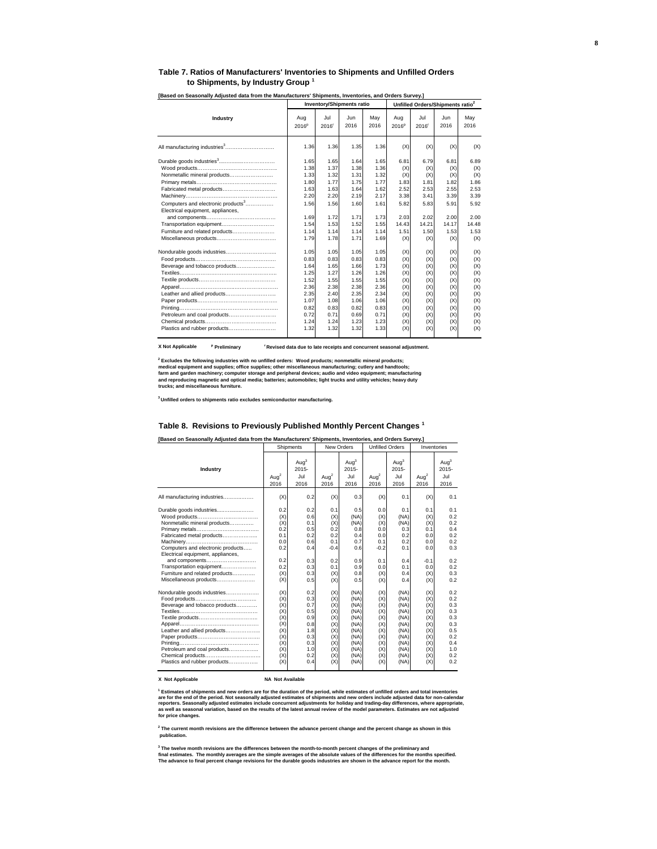#### **Table 7. Ratios of Manufacturers' Inventories to Shipments and Unfilled Orders to Shipments, by Industry Group <sup>1</sup>**

|                                                                                                                                                                                                                |                                                                                                      | <b>Inventory/Shipments ratio</b>                                                                     |                                                                                                      |                                                                                                      | Unfilled Orders/Shipments ratio <sup>2</sup>                                            |                                                                                         |                                                                                         |                                                                                         |  |
|----------------------------------------------------------------------------------------------------------------------------------------------------------------------------------------------------------------|------------------------------------------------------------------------------------------------------|------------------------------------------------------------------------------------------------------|------------------------------------------------------------------------------------------------------|------------------------------------------------------------------------------------------------------|-----------------------------------------------------------------------------------------|-----------------------------------------------------------------------------------------|-----------------------------------------------------------------------------------------|-----------------------------------------------------------------------------------------|--|
| Industry                                                                                                                                                                                                       | Aug<br>2016 <sup>p</sup>                                                                             | Jul.<br>2016'                                                                                        | Jun<br>2016                                                                                          | May<br>2016                                                                                          | Aug<br>2016 <sup>p</sup>                                                                | Jul<br>2016 <sup>r</sup>                                                                | .Jun<br>2016                                                                            | May<br>2016                                                                             |  |
|                                                                                                                                                                                                                | 1.36                                                                                                 | 1.36                                                                                                 | 1.35                                                                                                 | 1.36                                                                                                 | (X)                                                                                     | (X)                                                                                     | (X)                                                                                     | (X)                                                                                     |  |
| Nonmetallic mineral products<br>Fabricated metal products<br>Computers and electronic products <sup>3</sup><br>Electrical equipment, appliances,<br>Transportation equipment<br>Furniture and related products | 1.65<br>1.38<br>1.33<br>1.80<br>1.63<br>2.20<br>1.56<br>1.69<br>1.54<br>1.14                         | 1.65<br>1.37<br>1.32<br>1.77<br>1.63<br>2.20<br>1.56<br>1.72<br>1.53<br>1.14                         | 1.64<br>1.38<br>1.31<br>1.75<br>1.64<br>2.19<br>1.60<br>1.71<br>1.52<br>1.14                         | 1.65<br>1.36<br>1.32<br>1.77<br>1.62<br>2.17<br>1.61<br>1.73<br>1.55<br>1.14                         | 6.81<br>(X)<br>(X)<br>1.83<br>2.52<br>3.38<br>5.82<br>2.03<br>14.43<br>1.51             | 6.79<br>(X)<br>(X)<br>1.81<br>2.53<br>3.41<br>5.83<br>2.02<br>14.21<br>1.50             | 6.81<br>(X)<br>(X)<br>1.82<br>2.55<br>3.39<br>5.91<br>2.00<br>14.17<br>1.53             | 6.89<br>(X)<br>(X)<br>1.86<br>2.53<br>3.39<br>5.92<br>2.00<br>14.48<br>1.53             |  |
| Beverage and tobacco products<br>Leather and allied products<br>Petroleum and coal products<br>Plastics and rubber products                                                                                    | 1.79<br>1.05<br>0.83<br>1.64<br>1.25<br>1.52<br>2.36<br>2.35<br>1.07<br>0.82<br>0.72<br>1.24<br>1.32 | 1.78<br>1.05<br>0.83<br>1.65<br>1.27<br>1.55<br>2.38<br>2.40<br>1.08<br>0.83<br>0.71<br>1.24<br>1.32 | 1.71<br>1.05<br>0.83<br>1.66<br>1.26<br>1.55<br>2.38<br>2.35<br>1.06<br>0.82<br>0.69<br>1.23<br>1.32 | 1.69<br>1.05<br>0.83<br>1.73<br>1.26<br>1.55<br>2.36<br>2.34<br>1.06<br>0.83<br>0.71<br>1.23<br>1.33 | (X)<br>(X)<br>(X)<br>(X)<br>(X)<br>(X)<br>(X)<br>(X)<br>(X)<br>(X)<br>(X)<br>(X)<br>(X) | (X)<br>(X)<br>(X)<br>(X)<br>(X)<br>(X)<br>(X)<br>(X)<br>(X)<br>(X)<br>(X)<br>(X)<br>(X) | (X)<br>(X)<br>(X)<br>(X)<br>(X)<br>(X)<br>(X)<br>(X)<br>(X)<br>(X)<br>(X)<br>(X)<br>(X) | (X)<br>(X)<br>(X)<br>(X)<br>(X)<br>(X)<br>(X)<br>(X)<br>(X)<br>(X)<br>(X)<br>(X)<br>(X) |  |

**[Based on Seasonally Adjusted data from the Manufacturers' Shipments, Inventories, and Orders Survey.]** 

**X Not Applicable <sup>p</sup> Preliminary r Revised data due to late receipts and concurrent seasonal adjustment.**

<sup>2</sup> Excludes the following industries with no unfilled orders: Wood products; nonmetallic mineral products;<br>medical equipment and supplies; office supplies; other miscellaneous manufacturing; cutlery and handtools;<br>farm an

**3 Unfilled orders to shipments ratio excludes semiconductor manufacturing.**

#### **Table 8. Revisions to Previously Published Monthly Percent Changes 1**

| [Based on Seasonally Adjusted data from the Manufacturers' Shipments, Inventories, and Orders Survey.]                                                                                                                                                                    |                                                                                  |                                                                                  |                                                                                  |                                                                                              |                                                                                  |                                                                                              |                                                                                  |                                                                                  |  |  |  |  |
|---------------------------------------------------------------------------------------------------------------------------------------------------------------------------------------------------------------------------------------------------------------------------|----------------------------------------------------------------------------------|----------------------------------------------------------------------------------|----------------------------------------------------------------------------------|----------------------------------------------------------------------------------------------|----------------------------------------------------------------------------------|----------------------------------------------------------------------------------------------|----------------------------------------------------------------------------------|----------------------------------------------------------------------------------|--|--|--|--|
|                                                                                                                                                                                                                                                                           |                                                                                  | Shipments                                                                        | New Orders                                                                       |                                                                                              |                                                                                  | <b>Unfilled Orders</b>                                                                       |                                                                                  | Inventories                                                                      |  |  |  |  |
| Industry                                                                                                                                                                                                                                                                  | Aug <sup>2</sup><br>2016                                                         | Auq <sup>3</sup><br>$2015 -$<br>Jul<br>2016                                      | Aug $^2$<br>2016                                                                 | Aug <sup>3</sup><br>$2015 -$<br>Jul<br>2016                                                  | Aug $^2$<br>2016                                                                 | Aug <sup>3</sup><br>$2015 -$<br>Jul<br>2016                                                  | Aug <sup>2</sup><br>2016                                                         | Aug <sup>3</sup><br>$2015 -$<br>Jul<br>2016                                      |  |  |  |  |
| All manufacturing industries                                                                                                                                                                                                                                              | (X)                                                                              | 0.2                                                                              | (X)                                                                              | 0.3                                                                                          | (X)                                                                              | 0.1                                                                                          | (X)                                                                              | 0.1                                                                              |  |  |  |  |
| Durable goods industries<br>Nonmetallic mineral products<br>Fabricated metal products<br>Computers and electronic products<br>Electrical equipment, appliances,<br>and components<br>Transportation equipment<br>Furniture and related products<br>Miscellaneous products | 0.2<br>(X)<br>(X)<br>0.2<br>0.1<br>0.0<br>0.2<br>0.2<br>0.2<br>(X)<br>(X)        | 0.2<br>0.6<br>0.1<br>0.5<br>0.2<br>0.6<br>0.4<br>0.3<br>0.3<br>0.3<br>0.5        | 0.1<br>(X)<br>(X)<br>0.2<br>0.2<br>0.1<br>$-0.4$<br>0.2<br>0.1<br>(X)<br>(X)     | 0.5<br>(NA)<br>(NA)<br>0.8<br>0.4<br>0.7<br>0.6<br>0.9<br>0.9<br>0.8<br>0.5                  | 0.0<br>(X)<br>(X)<br>0.0<br>0.0<br>0.1<br>$-0.2$<br>0.1<br>0.0<br>(X)<br>(X)     | 0.1<br>(NA)<br>(NA)<br>0.3<br>0.2<br>0.2<br>0.1<br>0.4<br>0.1<br>0.4<br>0.4                  | 0.1<br>(X)<br>(X)<br>0.1<br>0.0<br>0.0<br>0.0<br>$-0.1$<br>0.0<br>(X)<br>(X)     | 0.1<br>0.2<br>0.2<br>0.4<br>0.2<br>0.2<br>0.3<br>0.2<br>0.2<br>0.3<br>0.2        |  |  |  |  |
| Nondurable goods industries<br>Beverage and tobacco products<br>Leather and allied products<br>Petroleum and coal products<br>Chemical products<br>Plastics and rubber products                                                                                           | (X)<br>(X)<br>(X)<br>(X)<br>(X)<br>(X)<br>(X)<br>(X)<br>(X)<br>(X)<br>(X)<br>(X) | 0.2<br>0.3<br>0.7<br>0.5<br>0.9<br>0.8<br>1.8<br>0.3<br>0.3<br>1.0<br>0.2<br>0.4 | (X)<br>(X)<br>(X)<br>(X)<br>(X)<br>(X)<br>(X)<br>(X)<br>(X)<br>(X)<br>(X)<br>(X) | (NA)<br>(NA)<br>(NA)<br>(NA)<br>(NA)<br>(NA)<br>(NA)<br>(NA)<br>(NA)<br>(NA)<br>(NA)<br>(NA) | (X)<br>(X)<br>(X)<br>(X)<br>(X)<br>(X)<br>(X)<br>(X)<br>(X)<br>(X)<br>(X)<br>(X) | (NA)<br>(NA)<br>(NA)<br>(NA)<br>(NA)<br>(NA)<br>(NA)<br>(NA)<br>(NA)<br>(NA)<br>(NA)<br>(NA) | (X)<br>(X)<br>(X)<br>(X)<br>(X)<br>(X)<br>(X)<br>(X)<br>(X)<br>(X)<br>(X)<br>(X) | 0.2<br>0.2<br>0.3<br>0.3<br>0.3<br>0.3<br>0.5<br>0.2<br>0.4<br>1.0<br>0.2<br>0.2 |  |  |  |  |

#### **X Not Applicable NA Not Available**

<sup>1</sup> Estimates of shipments and new orders are for the duration of the period, while estimates of unfilled orders and total inventories<br>are for the end of the period. Not seasonally adjusted estimates of shipments and new o

**2 The current month revisions are the difference between the advance percent change and the percent change as shown in this publication.**

<sup>3</sup> The twelve month revisions are the differences between the month-to-month percent changes of the preliminary and<br>final estimates. The monthly averages are the simple averages of the absolute values of the differences f